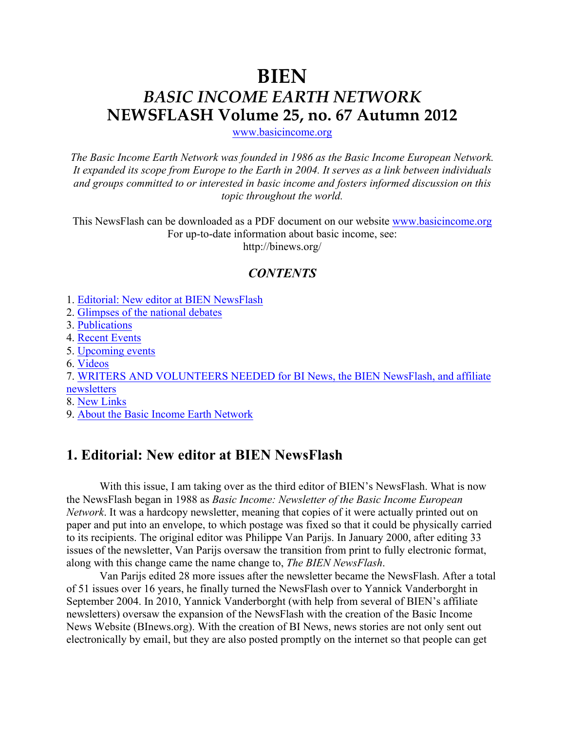# **BIEN** *BASIC INCOME EARTH NETWORK* **NEWSFLASH Volume 25, no. 67 Autumn 2012**

www.basicincome.org

*The Basic Income Earth Network was founded in 1986 as the Basic Income European Network. It expanded its scope from Europe to the Earth in 2004. It serves as a link between individuals and groups committed to or interested in basic income and fosters informed discussion on this topic throughout the world.*

This NewsFlash can be downloaded as a PDF document on our website www.basicincome.org For up-to-date information about basic income, see:

http://binews.org/

### *CONTENTS*

- 1. Editorial: New editor at BIEN NewsFlash
- 2. Glimpses of the national debates
- 3. Publications
- 4. Recent Events
- 5. Upcoming events
- 6. Videos

7. WRITERS AND VOLUNTEERS NEEDED for BI News, the BIEN NewsFlash, and affiliate newsletters

- 8. New Links
- 9. About the Basic Income Earth Network

### **1. Editorial: New editor at BIEN NewsFlash**

With this issue, I am taking over as the third editor of BIEN's NewsFlash. What is now the NewsFlash began in 1988 as *Basic Income: Newsletter of the Basic Income European Network*. It was a hardcopy newsletter, meaning that copies of it were actually printed out on paper and put into an envelope, to which postage was fixed so that it could be physically carried to its recipients. The original editor was Philippe Van Parijs. In January 2000, after editing 33 issues of the newsletter, Van Parijs oversaw the transition from print to fully electronic format, along with this change came the name change to, *The BIEN NewsFlash*.

Van Parijs edited 28 more issues after the newsletter became the NewsFlash. After a total of 51 issues over 16 years, he finally turned the NewsFlash over to Yannick Vanderborght in September 2004. In 2010, Yannick Vanderborght (with help from several of BIEN's affiliate newsletters) oversaw the expansion of the NewsFlash with the creation of the Basic Income News Website (BInews.org). With the creation of BI News, news stories are not only sent out electronically by email, but they are also posted promptly on the internet so that people can get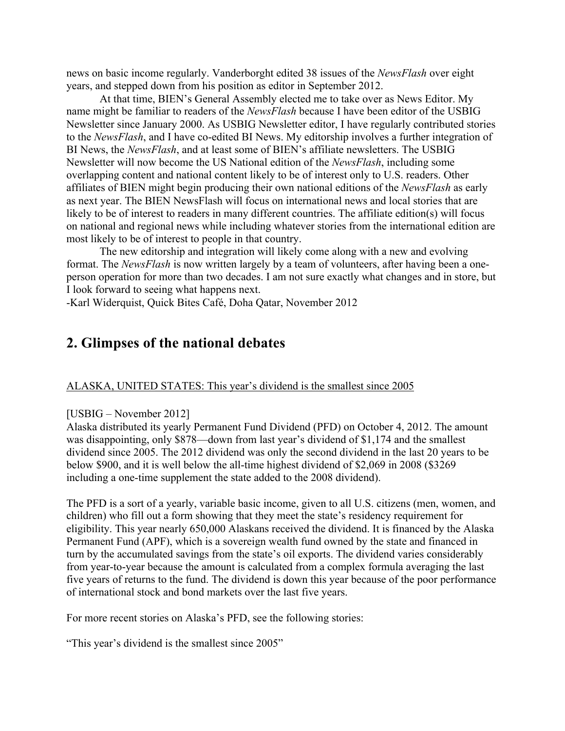news on basic income regularly. Vanderborght edited 38 issues of the *NewsFlash* over eight years, and stepped down from his position as editor in September 2012.

At that time, BIEN's General Assembly elected me to take over as News Editor. My name might be familiar to readers of the *NewsFlash* because I have been editor of the USBIG Newsletter since January 2000. As USBIG Newsletter editor, I have regularly contributed stories to the *NewsFlash*, and I have co-edited BI News. My editorship involves a further integration of BI News, the *NewsFlash*, and at least some of BIEN's affiliate newsletters. The USBIG Newsletter will now become the US National edition of the *NewsFlash*, including some overlapping content and national content likely to be of interest only to U.S. readers. Other affiliates of BIEN might begin producing their own national editions of the *NewsFlash* as early as next year. The BIEN NewsFlash will focus on international news and local stories that are likely to be of interest to readers in many different countries. The affiliate edition(s) will focus on national and regional news while including whatever stories from the international edition are most likely to be of interest to people in that country.

The new editorship and integration will likely come along with a new and evolving format. The *NewsFlash* is now written largely by a team of volunteers, after having been a oneperson operation for more than two decades. I am not sure exactly what changes and in store, but I look forward to seeing what happens next.

-Karl Widerquist, Quick Bites Café, Doha Qatar, November 2012

### **2. Glimpses of the national debates**

#### ALASKA, UNITED STATES: This year's dividend is the smallest since 2005

#### [USBIG – November 2012]

Alaska distributed its yearly Permanent Fund Dividend (PFD) on October 4, 2012. The amount was disappointing, only \$878—down from last year's dividend of \$1,174 and the smallest dividend since 2005. The 2012 dividend was only the second dividend in the last 20 years to be below \$900, and it is well below the all-time highest dividend of \$2,069 in 2008 (\$3269 including a one-time supplement the state added to the 2008 dividend).

The PFD is a sort of a yearly, variable basic income, given to all U.S. citizens (men, women, and children) who fill out a form showing that they meet the state's residency requirement for eligibility. This year nearly 650,000 Alaskans received the dividend. It is financed by the Alaska Permanent Fund (APF), which is a sovereign wealth fund owned by the state and financed in turn by the accumulated savings from the state's oil exports. The dividend varies considerably from year-to-year because the amount is calculated from a complex formula averaging the last five years of returns to the fund. The dividend is down this year because of the poor performance of international stock and bond markets over the last five years.

For more recent stories on Alaska's PFD, see the following stories:

"This year's dividend is the smallest since 2005"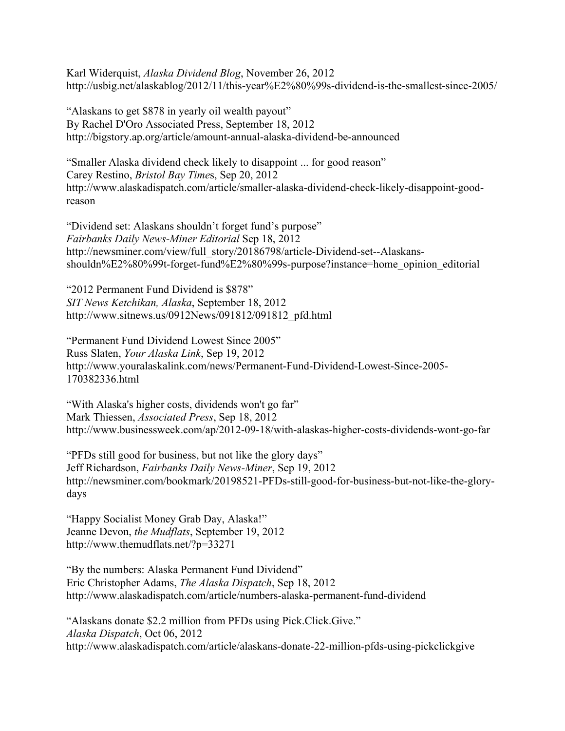Karl Widerquist, *Alaska Dividend Blog*, November 26, 2012 http://usbig.net/alaskablog/2012/11/this-year%E2%80%99s-dividend-is-the-smallest-since-2005/

"Alaskans to get \$878 in yearly oil wealth payout" By Rachel D'Oro Associated Press, September 18, 2012 http://bigstory.ap.org/article/amount-annual-alaska-dividend-be-announced

"Smaller Alaska dividend check likely to disappoint ... for good reason" Carey Restino, *Bristol Bay Time*s, Sep 20, 2012 http://www.alaskadispatch.com/article/smaller-alaska-dividend-check-likely-disappoint-goodreason

"Dividend set: Alaskans shouldn't forget fund's purpose" *Fairbanks Daily News-Miner Editorial* Sep 18, 2012 http://newsminer.com/view/full\_story/20186798/article-Dividend-set--Alaskansshouldn%E2%80%99t-forget-fund%E2%80%99s-purpose?instance=home\_opinion\_editorial

"2012 Permanent Fund Dividend is \$878" *SIT News Ketchikan, Alaska*, September 18, 2012 http://www.sitnews.us/0912News/091812/091812\_pfd.html

"Permanent Fund Dividend Lowest Since 2005" Russ Slaten, *Your Alaska Link*, Sep 19, 2012 http://www.youralaskalink.com/news/Permanent-Fund-Dividend-Lowest-Since-2005- 170382336.html

"With Alaska's higher costs, dividends won't go far" Mark Thiessen, *Associated Press*, Sep 18, 2012 http://www.businessweek.com/ap/2012-09-18/with-alaskas-higher-costs-dividends-wont-go-far

"PFDs still good for business, but not like the glory days" Jeff Richardson, *Fairbanks Daily News-Miner*, Sep 19, 2012 http://newsminer.com/bookmark/20198521-PFDs-still-good-for-business-but-not-like-the-glorydays

"Happy Socialist Money Grab Day, Alaska!" Jeanne Devon, *the Mudflats*, September 19, 2012 http://www.themudflats.net/?p=33271

"By the numbers: Alaska Permanent Fund Dividend" Eric Christopher Adams, *The Alaska Dispatch*, Sep 18, 2012 http://www.alaskadispatch.com/article/numbers-alaska-permanent-fund-dividend

"Alaskans donate \$2.2 million from PFDs using Pick.Click.Give." *Alaska Dispatch*, Oct 06, 2012 http://www.alaskadispatch.com/article/alaskans-donate-22-million-pfds-using-pickclickgive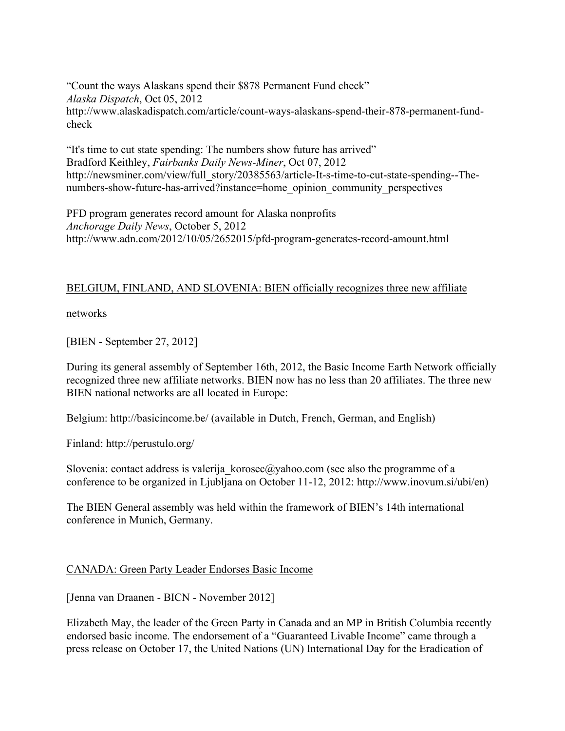"Count the ways Alaskans spend their \$878 Permanent Fund check" *Alaska Dispatch*, Oct 05, 2012 http://www.alaskadispatch.com/article/count-ways-alaskans-spend-their-878-permanent-fundcheck

"It's time to cut state spending: The numbers show future has arrived" Bradford Keithley, *Fairbanks Daily News-Miner*, Oct 07, 2012 http://newsminer.com/view/full\_story/20385563/article-It-s-time-to-cut-state-spending--Thenumbers-show-future-has-arrived?instance=home\_opinion\_community\_perspectives

PFD program generates record amount for Alaska nonprofits *Anchorage Daily News*, October 5, 2012 http://www.adn.com/2012/10/05/2652015/pfd-program-generates-record-amount.html

#### BELGIUM, FINLAND, AND SLOVENIA: BIEN officially recognizes three new affiliate

networks

[BIEN - September 27, 2012]

During its general assembly of September 16th, 2012, the Basic Income Earth Network officially recognized three new affiliate networks. BIEN now has no less than 20 affiliates. The three new BIEN national networks are all located in Europe:

Belgium: http://basicincome.be/ (available in Dutch, French, German, and English)

Finland: http://perustulo.org/

Slovenia: contact address is valerija korosec@yahoo.com (see also the programme of a conference to be organized in Ljubljana on October 11-12, 2012: http://www.inovum.si/ubi/en)

The BIEN General assembly was held within the framework of BIEN's 14th international conference in Munich, Germany.

#### CANADA: Green Party Leader Endorses Basic Income

[Jenna van Draanen - BICN - November 2012]

Elizabeth May, the leader of the Green Party in Canada and an MP in British Columbia recently endorsed basic income. The endorsement of a "Guaranteed Livable Income" came through a press release on October 17, the United Nations (UN) International Day for the Eradication of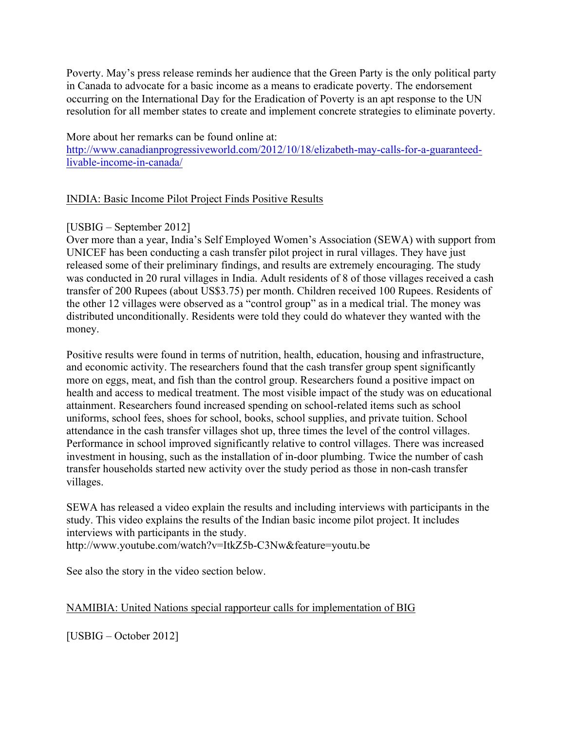Poverty. May's press release reminds her audience that the Green Party is the only political party in Canada to advocate for a basic income as a means to eradicate poverty. The endorsement occurring on the International Day for the Eradication of Poverty is an apt response to the UN resolution for all member states to create and implement concrete strategies to eliminate poverty.

More about her remarks can be found online at:

http://www.canadianprogressiveworld.com/2012/10/18/elizabeth-may-calls-for-a-guaranteedlivable-income-in-canada/

#### INDIA: Basic Income Pilot Project Finds Positive Results

#### [USBIG – September 2012]

Over more than a year, India's Self Employed Women's Association (SEWA) with support from UNICEF has been conducting a cash transfer pilot project in rural villages. They have just released some of their preliminary findings, and results are extremely encouraging. The study was conducted in 20 rural villages in India. Adult residents of 8 of those villages received a cash transfer of 200 Rupees (about US\$3.75) per month. Children received 100 Rupees. Residents of the other 12 villages were observed as a "control group" as in a medical trial. The money was distributed unconditionally. Residents were told they could do whatever they wanted with the money.

Positive results were found in terms of nutrition, health, education, housing and infrastructure, and economic activity. The researchers found that the cash transfer group spent significantly more on eggs, meat, and fish than the control group. Researchers found a positive impact on health and access to medical treatment. The most visible impact of the study was on educational attainment. Researchers found increased spending on school-related items such as school uniforms, school fees, shoes for school, books, school supplies, and private tuition. School attendance in the cash transfer villages shot up, three times the level of the control villages. Performance in school improved significantly relative to control villages. There was increased investment in housing, such as the installation of in-door plumbing. Twice the number of cash transfer households started new activity over the study period as those in non-cash transfer villages.

SEWA has released a video explain the results and including interviews with participants in the study. This video explains the results of the Indian basic income pilot project. It includes interviews with participants in the study. http://www.youtube.com/watch?v=ItkZ5b-C3Nw&feature=youtu.be

See also the story in the video section below.

#### NAMIBIA: United Nations special rapporteur calls for implementation of BIG

[USBIG – October 2012]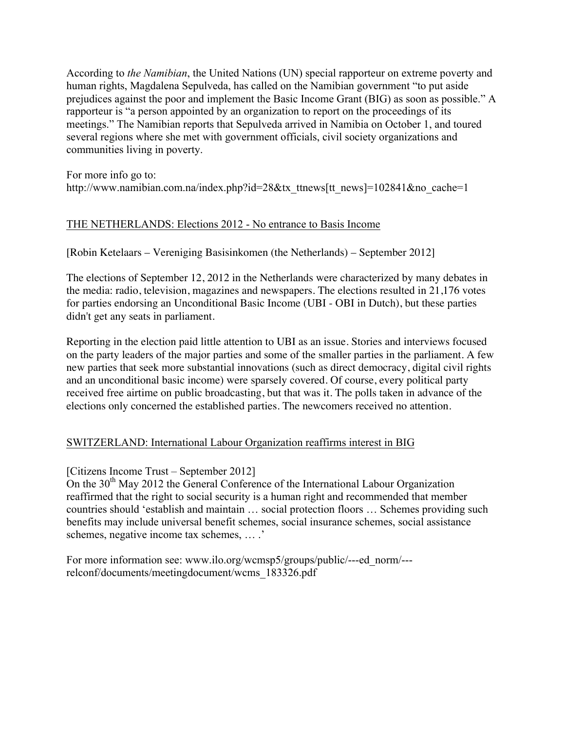According to *the Namibian*, the United Nations (UN) special rapporteur on extreme poverty and human rights, Magdalena Sepulveda, has called on the Namibian government "to put aside prejudices against the poor and implement the Basic Income Grant (BIG) as soon as possible." A rapporteur is "a person appointed by an organization to report on the proceedings of its meetings." The Namibian reports that Sepulveda arrived in Namibia on October 1, and toured several regions where she met with government officials, civil society organizations and communities living in poverty.

For more info go to: http://www.namibian.com.na/index.php?id=28&tx\_ttnews[tt\_news]=102841&no\_cache=1

#### THE NETHERLANDS: Elections 2012 - No entrance to Basis Income

[Robin Ketelaars – Vereniging Basisinkomen (the Netherlands) – September 2012]

The elections of September 12, 2012 in the Netherlands were characterized by many debates in the media: radio, television, magazines and newspapers. The elections resulted in 21,176 votes for parties endorsing an Unconditional Basic Income (UBI - OBI in Dutch), but these parties didn't get any seats in parliament.

Reporting in the election paid little attention to UBI as an issue. Stories and interviews focused on the party leaders of the major parties and some of the smaller parties in the parliament. A few new parties that seek more substantial innovations (such as direct democracy, digital civil rights and an unconditional basic income) were sparsely covered. Of course, every political party received free airtime on public broadcasting, but that was it. The polls taken in advance of the elections only concerned the established parties. The newcomers received no attention.

#### SWITZERLAND: International Labour Organization reaffirms interest in BIG

#### [Citizens Income Trust – September 2012]

On the 30<sup>th</sup> May 2012 the General Conference of the International Labour Organization reaffirmed that the right to social security is a human right and recommended that member countries should 'establish and maintain … social protection floors … Schemes providing such benefits may include universal benefit schemes, social insurance schemes, social assistance schemes, negative income tax schemes, … .'

For more information see: www.ilo.org/wcmsp5/groups/public/---ed\_norm/-- relconf/documents/meetingdocument/wcms\_183326.pdf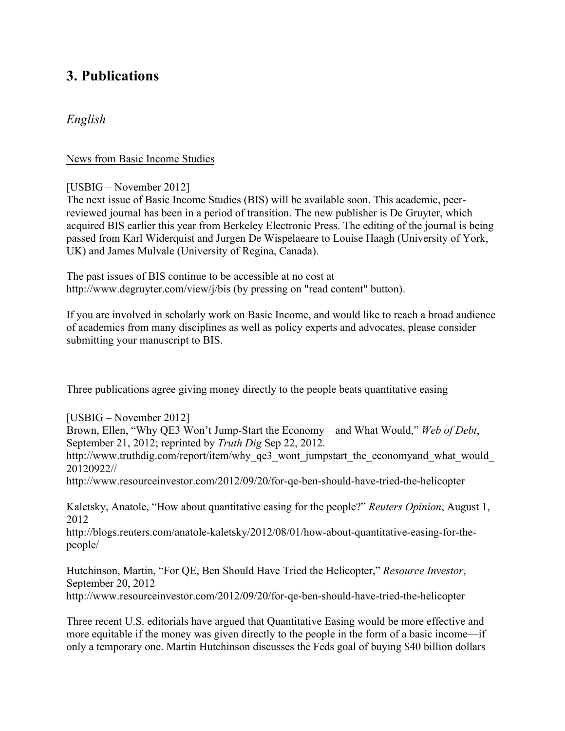# **3. Publications**

### *English*

News from Basic Income Studies

[USBIG – November 2012]

The next issue of Basic Income Studies (BIS) will be available soon. This academic, peerreviewed journal has been in a period of transition. The new publisher is De Gruyter, which acquired BIS earlier this year from Berkeley Electronic Press. The editing of the journal is being passed from Karl Widerquist and Jurgen De Wispelaeare to Louise Haagh (University of York, UK) and James Mulvale (University of Regina, Canada).

The past issues of BIS continue to be accessible at no cost at http://www.degruyter.com/view/j/bis (by pressing on "read content" button).

If you are involved in scholarly work on Basic Income, and would like to reach a broad audience of academics from many disciplines as well as policy experts and advocates, please consider submitting your manuscript to BIS.

#### Three publications agree giving money directly to the people beats quantitative easing

[USBIG – November 2012]

Brown, Ellen, "Why QE3 Won't Jump-Start the Economy—and What Would," *Web of Debt*, September 21, 2012; reprinted by *Truth Dig* Sep 22, 2012.

http://www.truthdig.com/report/item/why\_qe3\_wont\_jumpstart\_the\_economyand\_what\_would\_ 20120922//

http://www.resourceinvestor.com/2012/09/20/for-qe-ben-should-have-tried-the-helicopter

Kaletsky, Anatole, "How about quantitative easing for the people?" *Reuters Opinion*, August 1, 2012

http://blogs.reuters.com/anatole-kaletsky/2012/08/01/how-about-quantitative-easing-for-thepeople/

Hutchinson, Martin, "For QE, Ben Should Have Tried the Helicopter," *Resource Investor*, September 20, 2012 http://www.resourceinvestor.com/2012/09/20/for-qe-ben-should-have-tried-the-helicopter

Three recent U.S. editorials have argued that Quantitative Easing would be more effective and more equitable if the money was given directly to the people in the form of a basic income—if only a temporary one. Martin Hutchinson discusses the Feds goal of buying \$40 billion dollars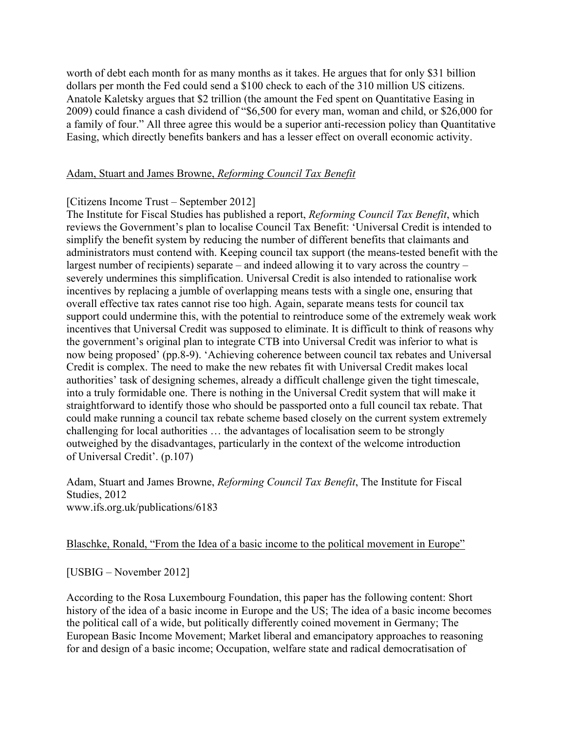worth of debt each month for as many months as it takes. He argues that for only \$31 billion dollars per month the Fed could send a \$100 check to each of the 310 million US citizens. Anatole Kaletsky argues that \$2 trillion (the amount the Fed spent on Quantitative Easing in 2009) could finance a cash dividend of "\$6,500 for every man, woman and child, or \$26,000 for a family of four." All three agree this would be a superior anti-recession policy than Quantitative Easing, which directly benefits bankers and has a lesser effect on overall economic activity.

#### Adam, Stuart and James Browne, *Reforming Council Tax Benefit*

#### [Citizens Income Trust – September 2012]

The Institute for Fiscal Studies has published a report, *Reforming Council Tax Benefit*, which reviews the Government's plan to localise Council Tax Benefit: 'Universal Credit is intended to simplify the benefit system by reducing the number of different benefits that claimants and administrators must contend with. Keeping council tax support (the means-tested benefit with the largest number of recipients) separate – and indeed allowing it to vary across the country – severely undermines this simplification. Universal Credit is also intended to rationalise work incentives by replacing a jumble of overlapping means tests with a single one, ensuring that overall effective tax rates cannot rise too high. Again, separate means tests for council tax support could undermine this, with the potential to reintroduce some of the extremely weak work incentives that Universal Credit was supposed to eliminate. It is difficult to think of reasons why the government's original plan to integrate CTB into Universal Credit was inferior to what is now being proposed' (pp.8-9). 'Achieving coherence between council tax rebates and Universal Credit is complex. The need to make the new rebates fit with Universal Credit makes local authorities' task of designing schemes, already a difficult challenge given the tight timescale, into a truly formidable one. There is nothing in the Universal Credit system that will make it straightforward to identify those who should be passported onto a full council tax rebate. That could make running a council tax rebate scheme based closely on the current system extremely challenging for local authorities … the advantages of localisation seem to be strongly outweighed by the disadvantages, particularly in the context of the welcome introduction of Universal Credit'. (p.107)

Adam, Stuart and James Browne, *Reforming Council Tax Benefit*, The Institute for Fiscal Studies, 2012 www.ifs.org.uk/publications/6183

#### Blaschke, Ronald, "From the Idea of a basic income to the political movement in Europe"

[USBIG – November 2012]

According to the Rosa Luxembourg Foundation, this paper has the following content: Short history of the idea of a basic income in Europe and the US; The idea of a basic income becomes the political call of a wide, but politically differently coined movement in Germany; The European Basic Income Movement; Market liberal and emancipatory approaches to reasoning for and design of a basic income; Occupation, welfare state and radical democratisation of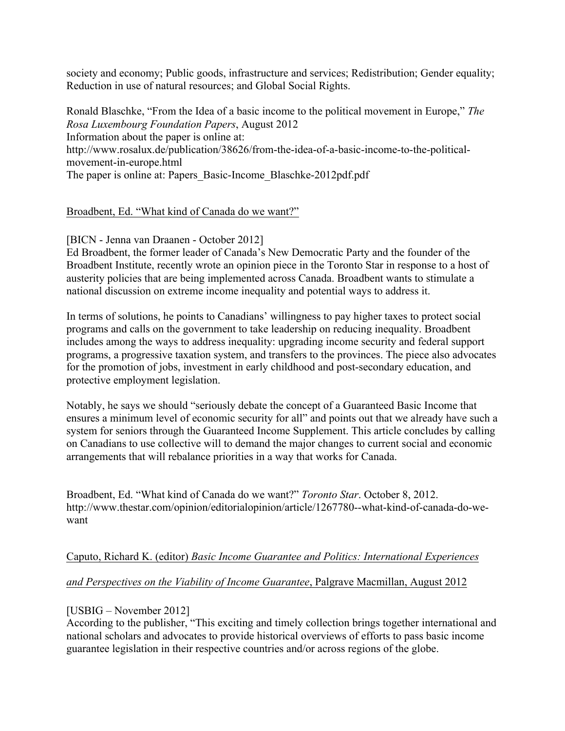society and economy; Public goods, infrastructure and services; Redistribution; Gender equality; Reduction in use of natural resources; and Global Social Rights.

Ronald Blaschke, "From the Idea of a basic income to the political movement in Europe," *The Rosa Luxembourg Foundation Papers*, August 2012 Information about the paper is online at: http://www.rosalux.de/publication/38626/from-the-idea-of-a-basic-income-to-the-politicalmovement-in-europe.html The paper is online at: Papers\_Basic-Income\_Blaschke-2012pdf.pdf

#### Broadbent, Ed. "What kind of Canada do we want?"

#### [BICN - Jenna van Draanen - October 2012]

Ed Broadbent, the former leader of Canada's New Democratic Party and the founder of the Broadbent Institute, recently wrote an opinion piece in the Toronto Star in response to a host of austerity policies that are being implemented across Canada. Broadbent wants to stimulate a national discussion on extreme income inequality and potential ways to address it.

In terms of solutions, he points to Canadians' willingness to pay higher taxes to protect social programs and calls on the government to take leadership on reducing inequality. Broadbent includes among the ways to address inequality: upgrading income security and federal support programs, a progressive taxation system, and transfers to the provinces. The piece also advocates for the promotion of jobs, investment in early childhood and post-secondary education, and protective employment legislation.

Notably, he says we should "seriously debate the concept of a Guaranteed Basic Income that ensures a minimum level of economic security for all" and points out that we already have such a system for seniors through the Guaranteed Income Supplement. This article concludes by calling on Canadians to use collective will to demand the major changes to current social and economic arrangements that will rebalance priorities in a way that works for Canada.

Broadbent, Ed. "What kind of Canada do we want?" *Toronto Star*. October 8, 2012. http://www.thestar.com/opinion/editorialopinion/article/1267780--what-kind-of-canada-do-wewant

#### Caputo, Richard K. (editor) *Basic Income Guarantee and Politics: International Experiences*

#### *and Perspectives on the Viability of Income Guarantee*, Palgrave Macmillan, August 2012

#### [USBIG – November 2012]

According to the publisher, "This exciting and timely collection brings together international and national scholars and advocates to provide historical overviews of efforts to pass basic income guarantee legislation in their respective countries and/or across regions of the globe.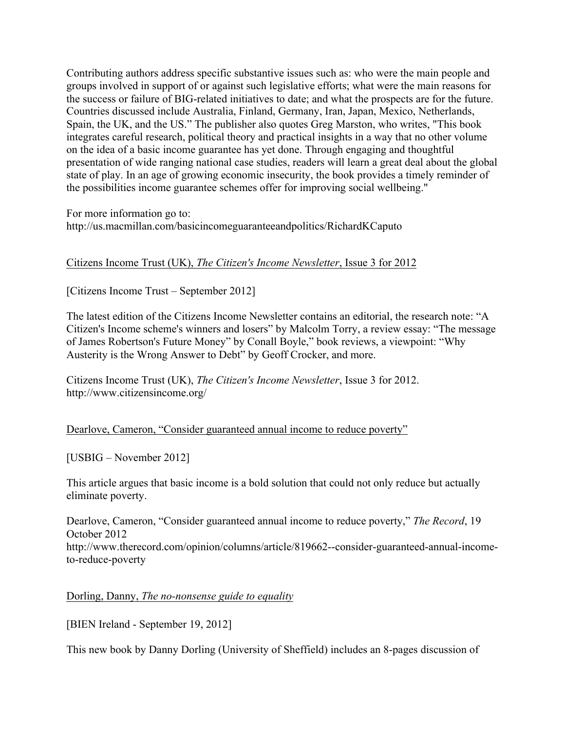Contributing authors address specific substantive issues such as: who were the main people and groups involved in support of or against such legislative efforts; what were the main reasons for the success or failure of BIG-related initiatives to date; and what the prospects are for the future. Countries discussed include Australia, Finland, Germany, Iran, Japan, Mexico, Netherlands, Spain, the UK, and the US." The publisher also quotes Greg Marston, who writes, "This book integrates careful research, political theory and practical insights in a way that no other volume on the idea of a basic income guarantee has yet done. Through engaging and thoughtful presentation of wide ranging national case studies, readers will learn a great deal about the global state of play. In an age of growing economic insecurity, the book provides a timely reminder of the possibilities income guarantee schemes offer for improving social wellbeing."

For more information go to: http://us.macmillan.com/basicincomeguaranteeandpolitics/RichardKCaputo

#### Citizens Income Trust (UK), *The Citizen's Income Newsletter*, Issue 3 for 2012

[Citizens Income Trust – September 2012]

The latest edition of the Citizens Income Newsletter contains an editorial, the research note: "A Citizen's Income scheme's winners and losers" by Malcolm Torry, a review essay: "The message of James Robertson's Future Money" by Conall Boyle," book reviews, a viewpoint: "Why Austerity is the Wrong Answer to Debt" by Geoff Crocker, and more.

Citizens Income Trust (UK), *The Citizen's Income Newsletter*, Issue 3 for 2012. http://www.citizensincome.org/

Dearlove, Cameron, "Consider guaranteed annual income to reduce poverty"

[USBIG – November 2012]

This article argues that basic income is a bold solution that could not only reduce but actually eliminate poverty.

Dearlove, Cameron, "Consider guaranteed annual income to reduce poverty," *The Record*, 19 October 2012 http://www.therecord.com/opinion/columns/article/819662--consider-guaranteed-annual-incometo-reduce-poverty

Dorling, Danny, *The no-nonsense guide to equality*

[BIEN Ireland - September 19, 2012]

This new book by Danny Dorling (University of Sheffield) includes an 8-pages discussion of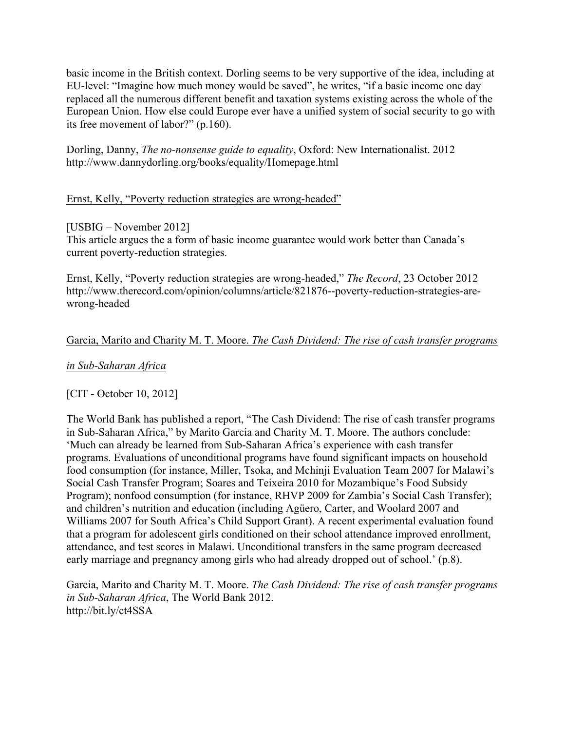basic income in the British context. Dorling seems to be very supportive of the idea, including at EU-level: "Imagine how much money would be saved", he writes, "if a basic income one day replaced all the numerous different benefit and taxation systems existing across the whole of the European Union. How else could Europe ever have a unified system of social security to go with its free movement of labor?" (p.160).

Dorling, Danny, *The no-nonsense guide to equality*, Oxford: New Internationalist. 2012 http://www.dannydorling.org/books/equality/Homepage.html

#### Ernst, Kelly, "Poverty reduction strategies are wrong-headed"

#### [USBIG – November 2012]

This article argues the a form of basic income guarantee would work better than Canada's current poverty-reduction strategies.

Ernst, Kelly, "Poverty reduction strategies are wrong-headed," *The Record*, 23 October 2012 http://www.therecord.com/opinion/columns/article/821876--poverty-reduction-strategies-arewrong-headed

#### Garcia, Marito and Charity M. T. Moore. *The Cash Dividend: The rise of cash transfer programs*

#### *in Sub-Saharan Africa*

#### [CIT - October 10, 2012]

The World Bank has published a report, "The Cash Dividend: The rise of cash transfer programs in Sub-Saharan Africa," by Marito Garcia and Charity M. T. Moore. The authors conclude: 'Much can already be learned from Sub-Saharan Africa's experience with cash transfer programs. Evaluations of unconditional programs have found significant impacts on household food consumption (for instance, Miller, Tsoka, and Mchinji Evaluation Team 2007 for Malawi's Social Cash Transfer Program; Soares and Teixeira 2010 for Mozambique's Food Subsidy Program); nonfood consumption (for instance, RHVP 2009 for Zambia's Social Cash Transfer); and children's nutrition and education (including Agüero, Carter, and Woolard 2007 and Williams 2007 for South Africa's Child Support Grant). A recent experimental evaluation found that a program for adolescent girls conditioned on their school attendance improved enrollment, attendance, and test scores in Malawi. Unconditional transfers in the same program decreased early marriage and pregnancy among girls who had already dropped out of school.' (p.8).

Garcia, Marito and Charity M. T. Moore. *The Cash Dividend: The rise of cash transfer programs in Sub-Saharan Africa*, The World Bank 2012. http://bit.ly/ct4SSA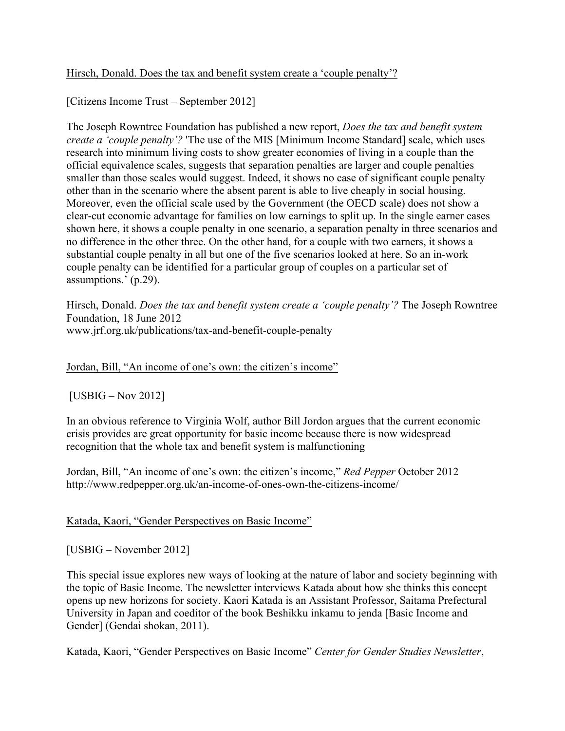#### Hirsch, Donald. Does the tax and benefit system create a 'couple penalty'?

[Citizens Income Trust – September 2012]

The Joseph Rowntree Foundation has published a new report, *Does the tax and benefit system create a 'couple penalty'?* 'The use of the MIS [Minimum Income Standard] scale, which uses research into minimum living costs to show greater economies of living in a couple than the official equivalence scales, suggests that separation penalties are larger and couple penalties smaller than those scales would suggest. Indeed, it shows no case of significant couple penalty other than in the scenario where the absent parent is able to live cheaply in social housing. Moreover, even the official scale used by the Government (the OECD scale) does not show a clear-cut economic advantage for families on low earnings to split up. In the single earner cases shown here, it shows a couple penalty in one scenario, a separation penalty in three scenarios and no difference in the other three. On the other hand, for a couple with two earners, it shows a substantial couple penalty in all but one of the five scenarios looked at here. So an in-work couple penalty can be identified for a particular group of couples on a particular set of assumptions.' (p.29).

Hirsch, Donald. *Does the tax and benefit system create a 'couple penalty'?* The Joseph Rowntree Foundation, 18 June 2012 www.jrf.org.uk/publications/tax-and-benefit-couple-penalty

Jordan, Bill, "An income of one's own: the citizen's income"

[USBIG – Nov 2012]

In an obvious reference to Virginia Wolf, author Bill Jordon argues that the current economic crisis provides are great opportunity for basic income because there is now widespread recognition that the whole tax and benefit system is malfunctioning

Jordan, Bill, "An income of one's own: the citizen's income," *Red Pepper* October 2012 http://www.redpepper.org.uk/an-income-of-ones-own-the-citizens-income/

Katada, Kaori, "Gender Perspectives on Basic Income"

[USBIG – November 2012]

This special issue explores new ways of looking at the nature of labor and society beginning with the topic of Basic Income. The newsletter interviews Katada about how she thinks this concept opens up new horizons for society. Kaori Katada is an Assistant Professor, Saitama Prefectural University in Japan and coeditor of the book Beshikku inkamu to jenda [Basic Income and Gender] (Gendai shokan, 2011).

Katada, Kaori, "Gender Perspectives on Basic Income" *Center for Gender Studies Newsletter*,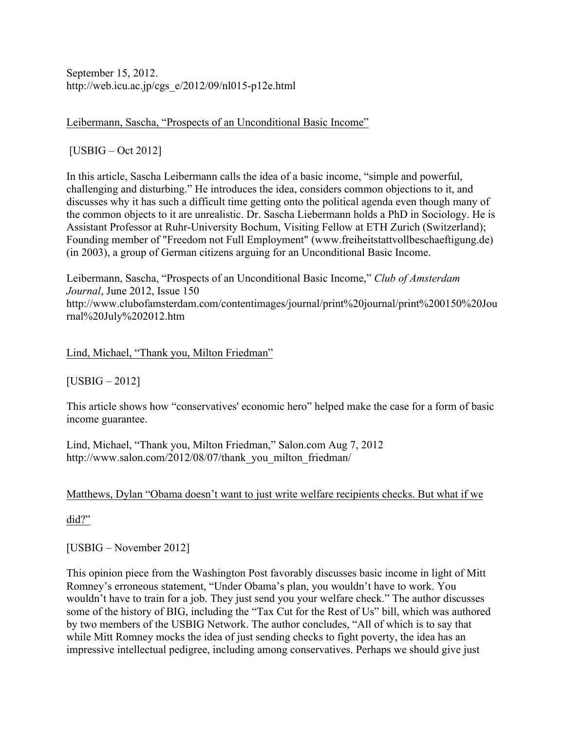September 15, 2012. http://web.icu.ac.jp/cgs\_e/2012/09/nl015-p12e.html

Leibermann, Sascha, "Prospects of an Unconditional Basic Income"

[USBIG – Oct 2012]

In this article, Sascha Leibermann calls the idea of a basic income, "simple and powerful, challenging and disturbing." He introduces the idea, considers common objections to it, and discusses why it has such a difficult time getting onto the political agenda even though many of the common objects to it are unrealistic. Dr. Sascha Liebermann holds a PhD in Sociology. He is Assistant Professor at Ruhr-University Bochum, Visiting Fellow at ETH Zurich (Switzerland); Founding member of "Freedom not Full Employment" (www.freiheitstattvollbeschaeftigung.de) (in 2003), a group of German citizens arguing for an Unconditional Basic Income.

Leibermann, Sascha, "Prospects of an Unconditional Basic Income," *Club of Amsterdam Journal*, June 2012, Issue 150 http://www.clubofamsterdam.com/contentimages/journal/print%20journal/print%200150%20Jou rnal%20July%202012.htm

Lind, Michael, "Thank you, Milton Friedman"

[USBIG – 2012]

This article shows how "conservatives' economic hero" helped make the case for a form of basic income guarantee.

Lind, Michael, "Thank you, Milton Friedman," Salon.com Aug 7, 2012 http://www.salon.com/2012/08/07/thank\_you\_milton\_friedman/

#### Matthews, Dylan "Obama doesn't want to just write welfare recipients checks. But what if we

did?"

[USBIG – November 2012]

This opinion piece from the Washington Post favorably discusses basic income in light of Mitt Romney's erroneous statement, "Under Obama's plan, you wouldn't have to work. You wouldn't have to train for a job. They just send you your welfare check." The author discusses some of the history of BIG, including the "Tax Cut for the Rest of Us" bill, which was authored by two members of the USBIG Network. The author concludes, "All of which is to say that while Mitt Romney mocks the idea of just sending checks to fight poverty, the idea has an impressive intellectual pedigree, including among conservatives. Perhaps we should give just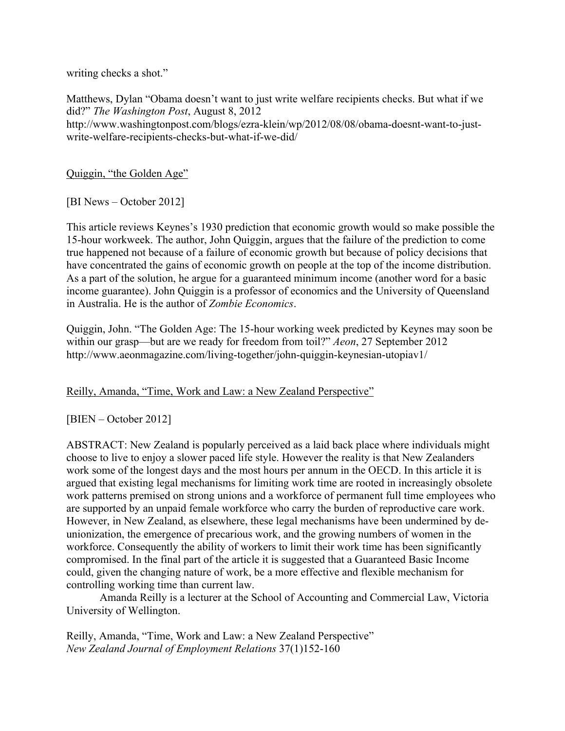writing checks a shot."

Matthews, Dylan "Obama doesn't want to just write welfare recipients checks. But what if we did?" *The Washington Post*, August 8, 2012 http://www.washingtonpost.com/blogs/ezra-klein/wp/2012/08/08/obama-doesnt-want-to-justwrite-welfare-recipients-checks-but-what-if-we-did/

Quiggin, "the Golden Age"

[BI News – October 2012]

This article reviews Keynes's 1930 prediction that economic growth would so make possible the 15-hour workweek. The author, John Quiggin, argues that the failure of the prediction to come true happened not because of a failure of economic growth but because of policy decisions that have concentrated the gains of economic growth on people at the top of the income distribution. As a part of the solution, he argue for a guaranteed minimum income (another word for a basic income guarantee). John Quiggin is a professor of economics and the University of Queensland in Australia. He is the author of *Zombie Economics*.

Quiggin, John. "The Golden Age: The 15-hour working week predicted by Keynes may soon be within our grasp—but are we ready for freedom from toil?" *Aeon*, 27 September 2012 http://www.aeonmagazine.com/living-together/john-quiggin-keynesian-utopiav1/

#### Reilly, Amanda, "Time, Work and Law: a New Zealand Perspective"

[BIEN – October 2012]

ABSTRACT: New Zealand is popularly perceived as a laid back place where individuals might choose to live to enjoy a slower paced life style. However the reality is that New Zealanders work some of the longest days and the most hours per annum in the OECD. In this article it is argued that existing legal mechanisms for limiting work time are rooted in increasingly obsolete work patterns premised on strong unions and a workforce of permanent full time employees who are supported by an unpaid female workforce who carry the burden of reproductive care work. However, in New Zealand, as elsewhere, these legal mechanisms have been undermined by deunionization, the emergence of precarious work, and the growing numbers of women in the workforce. Consequently the ability of workers to limit their work time has been significantly compromised. In the final part of the article it is suggested that a Guaranteed Basic Income could, given the changing nature of work, be a more effective and flexible mechanism for controlling working time than current law.

Amanda Reilly is a lecturer at the School of Accounting and Commercial Law, Victoria University of Wellington.

Reilly, Amanda, "Time, Work and Law: a New Zealand Perspective" *New Zealand Journal of Employment Relations* 37(1)152-160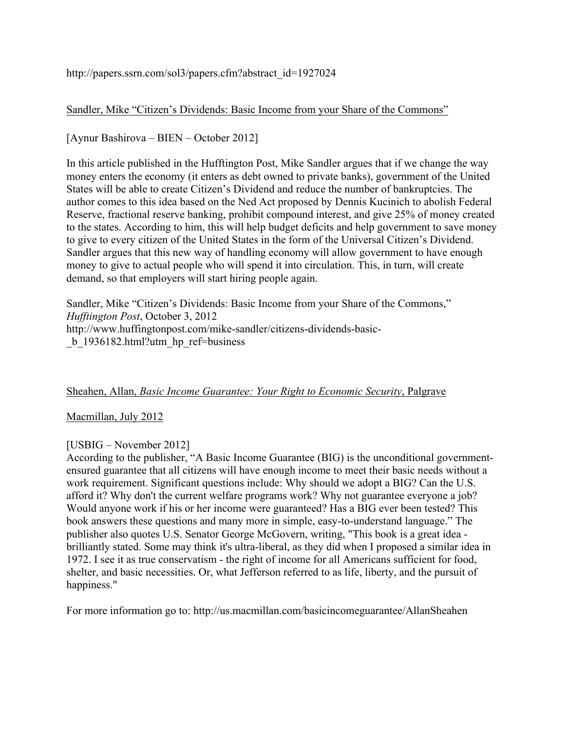http://papers.ssrn.com/sol3/papers.cfm?abstract\_id=1927024

Sandler, Mike "Citizen's Dividends: Basic Income from your Share of the Commons"

[Aynur Bashirova – BIEN – October 2012]

In this article published in the Hufftington Post, Mike Sandler argues that if we change the way money enters the economy (it enters as debt owned to private banks), government of the United States will be able to create Citizen's Dividend and reduce the number of bankruptcies. The author comes to this idea based on the Ned Act proposed by Dennis Kucinich to abolish Federal Reserve, fractional reserve banking, prohibit compound interest, and give 25% of money created to the states. According to him, this will help budget deficits and help government to save money to give to every citizen of the United States in the form of the Universal Citizen's Dividend. Sandler argues that this new way of handling economy will allow government to have enough money to give to actual people who will spend it into circulation. This, in turn, will create demand, so that employers will start hiring people again.

Sandler, Mike "Citizen's Dividends: Basic Income from your Share of the Commons," *Hufftington Post*, October 3, 2012 http://www.huffingtonpost.com/mike-sandler/citizens-dividends-basic- \_b\_1936182.html?utm\_hp\_ref=business

#### Sheahen, Allan, *Basic Income Guarantee: Your Right to Economic Security*, Palgrave

#### Macmillan, July 2012

#### [USBIG – November 2012]

According to the publisher, "A Basic Income Guarantee (BIG) is the unconditional governmentensured guarantee that all citizens will have enough income to meet their basic needs without a work requirement. Significant questions include: Why should we adopt a BIG? Can the U.S. afford it? Why don't the current welfare programs work? Why not guarantee everyone a job? Would anyone work if his or her income were guaranteed? Has a BIG ever been tested? This book answers these questions and many more in simple, easy-to-understand language." The publisher also quotes U.S. Senator George McGovern, writing, "This book is a great idea brilliantly stated. Some may think it's ultra-liberal, as they did when I proposed a similar idea in 1972. I see it as true conservatism - the right of income for all Americans sufficient for food, shelter, and basic necessities. Or, what Jefferson referred to as life, liberty, and the pursuit of happiness."

For more information go to: http://us.macmillan.com/basicincomeguarantee/AllanSheahen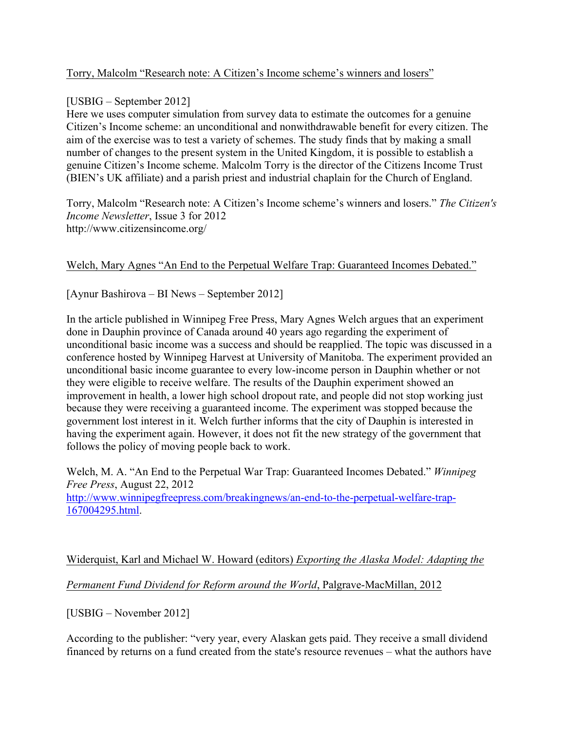#### Torry, Malcolm "Research note: A Citizen's Income scheme's winners and losers"

#### [USBIG – September 2012]

Here we uses computer simulation from survey data to estimate the outcomes for a genuine Citizen's Income scheme: an unconditional and nonwithdrawable benefit for every citizen. The aim of the exercise was to test a variety of schemes. The study finds that by making a small number of changes to the present system in the United Kingdom, it is possible to establish a genuine Citizen's Income scheme. Malcolm Torry is the director of the Citizens Income Trust (BIEN's UK affiliate) and a parish priest and industrial chaplain for the Church of England.

Torry, Malcolm "Research note: A Citizen's Income scheme's winners and losers." *The Citizen's Income Newsletter*, Issue 3 for 2012 http://www.citizensincome.org/

#### Welch, Mary Agnes "An End to the Perpetual Welfare Trap: Guaranteed Incomes Debated."

[Aynur Bashirova – BI News – September 2012]

In the article published in Winnipeg Free Press, Mary Agnes Welch argues that an experiment done in Dauphin province of Canada around 40 years ago regarding the experiment of unconditional basic income was a success and should be reapplied. The topic was discussed in a conference hosted by Winnipeg Harvest at University of Manitoba. The experiment provided an unconditional basic income guarantee to every low-income person in Dauphin whether or not they were eligible to receive welfare. The results of the Dauphin experiment showed an improvement in health, a lower high school dropout rate, and people did not stop working just because they were receiving a guaranteed income. The experiment was stopped because the government lost interest in it. Welch further informs that the city of Dauphin is interested in having the experiment again. However, it does not fit the new strategy of the government that follows the policy of moving people back to work.

Welch, M. A. "An End to the Perpetual War Trap: Guaranteed Incomes Debated." *Winnipeg Free Press*, August 22, 2012 http://www.winnipegfreepress.com/breakingnews/an-end-to-the-perpetual-welfare-trap-167004295.html.

# Widerquist, Karl and Michael W. Howard (editors) *Exporting the Alaska Model: Adapting the Permanent Fund Dividend for Reform around the World*, Palgrave-MacMillan, 2012

[USBIG – November 2012]

According to the publisher: "very year, every Alaskan gets paid. They receive a small dividend financed by returns on a fund created from the state's resource revenues – what the authors have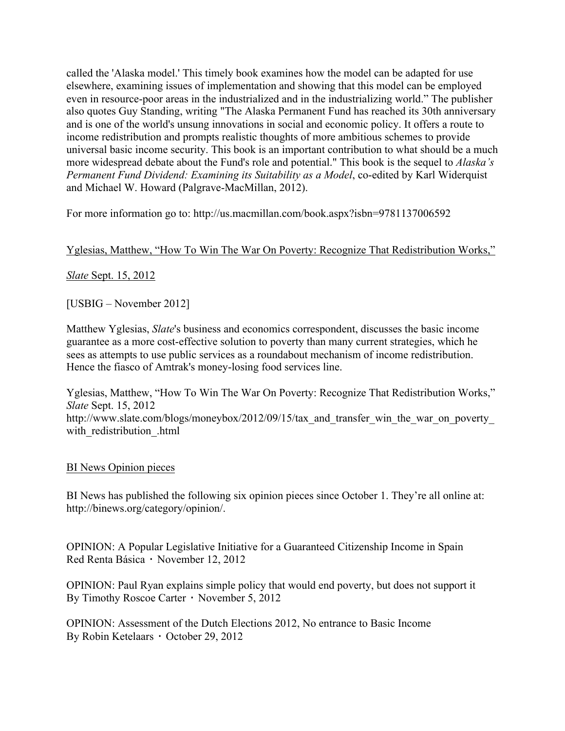called the 'Alaska model.' This timely book examines how the model can be adapted for use elsewhere, examining issues of implementation and showing that this model can be employed even in resource-poor areas in the industrialized and in the industrializing world." The publisher also quotes Guy Standing, writing "The Alaska Permanent Fund has reached its 30th anniversary and is one of the world's unsung innovations in social and economic policy. It offers a route to income redistribution and prompts realistic thoughts of more ambitious schemes to provide universal basic income security. This book is an important contribution to what should be a much more widespread debate about the Fund's role and potential." This book is the sequel to *Alaska's Permanent Fund Dividend: Examining its Suitability as a Model*, co-edited by Karl Widerquist and Michael W. Howard (Palgrave-MacMillan, 2012).

For more information go to: http://us.macmillan.com/book.aspx?isbn=9781137006592

#### Yglesias, Matthew, "How To Win The War On Poverty: Recognize That Redistribution Works,"

#### *Slate* Sept. 15, 2012

[USBIG – November 2012]

Matthew Yglesias, *Slate*'s business and economics correspondent, discusses the basic income guarantee as a more cost-effective solution to poverty than many current strategies, which he sees as attempts to use public services as a roundabout mechanism of income redistribution. Hence the fiasco of Amtrak's money-losing food services line.

Yglesias, Matthew, "How To Win The War On Poverty: Recognize That Redistribution Works," *Slate* Sept. 15, 2012 http://www.slate.com/blogs/moneybox/2012/09/15/tax\_and\_transfer\_win\_the\_war\_on\_poverty\_ with redistribution .html

#### BI News Opinion pieces

BI News has published the following six opinion pieces since October 1. They're all online at: http://binews.org/category/opinion/.

OPINION: A Popular Legislative Initiative for a Guaranteed Citizenship Income in Spain Red Renta Básica ⋅ November 12, 2012

OPINION: Paul Ryan explains simple policy that would end poverty, but does not support it By Timothy Roscoe Carter ⋅ November 5, 2012

OPINION: Assessment of the Dutch Elections 2012, No entrance to Basic Income By Robin Ketelaars ⋅ October 29, 2012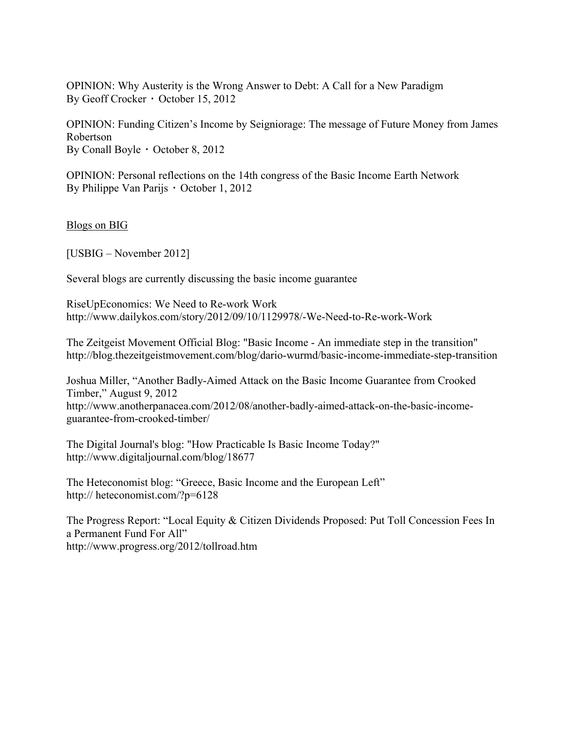OPINION: Why Austerity is the Wrong Answer to Debt: A Call for a New Paradigm By Geoff Crocker ⋅ October 15, 2012

OPINION: Funding Citizen's Income by Seigniorage: The message of Future Money from James Robertson By Conall Boyle ⋅ October 8, 2012

OPINION: Personal reflections on the 14th congress of the Basic Income Earth Network By Philippe Van Parijs ⋅ October 1, 2012

Blogs on BIG

[USBIG – November 2012]

Several blogs are currently discussing the basic income guarantee

RiseUpEconomics: We Need to Re-work Work http://www.dailykos.com/story/2012/09/10/1129978/-We-Need-to-Re-work-Work

The Zeitgeist Movement Official Blog: "Basic Income - An immediate step in the transition" http://blog.thezeitgeistmovement.com/blog/dario-wurmd/basic-income-immediate-step-transition

Joshua Miller, "Another Badly-Aimed Attack on the Basic Income Guarantee from Crooked Timber," August 9, 2012 http://www.anotherpanacea.com/2012/08/another-badly-aimed-attack-on-the-basic-incomeguarantee-from-crooked-timber/

The Digital Journal's blog: "How Practicable Is Basic Income Today?" http://www.digitaljournal.com/blog/18677

The Heteconomist blog: "Greece, Basic Income and the European Left" http:// heteconomist.com/?p=6128

The Progress Report: "Local Equity & Citizen Dividends Proposed: Put Toll Concession Fees In a Permanent Fund For All" http://www.progress.org/2012/tollroad.htm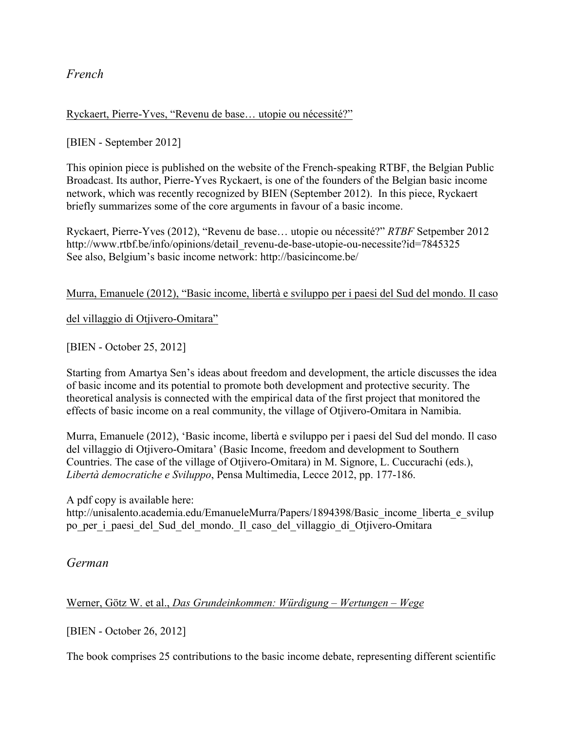*French*

Ryckaert, Pierre-Yves, "Revenu de base… utopie ou nécessité?"

[BIEN - September 2012]

This opinion piece is published on the website of the French-speaking RTBF, the Belgian Public Broadcast. Its author, Pierre-Yves Ryckaert, is one of the founders of the Belgian basic income network, which was recently recognized by BIEN (September 2012). In this piece, Ryckaert briefly summarizes some of the core arguments in favour of a basic income.

Ryckaert, Pierre-Yves (2012), "Revenu de base… utopie ou nécessité?" *RTBF* Setpember 2012 http://www.rtbf.be/info/opinions/detail\_revenu-de-base-utopie-ou-necessite?id=7845325 See also, Belgium's basic income network: http://basicincome.be/

Murra, Emanuele (2012), "Basic income, libertà e sviluppo per i paesi del Sud del mondo. Il caso

del villaggio di Otjivero-Omitara"

[BIEN - October 25, 2012]

Starting from Amartya Sen's ideas about freedom and development, the article discusses the idea of basic income and its potential to promote both development and protective security. The theoretical analysis is connected with the empirical data of the first project that monitored the effects of basic income on a real community, the village of Otjivero-Omitara in Namibia.

Murra, Emanuele (2012), 'Basic income, libertà e sviluppo per i paesi del Sud del mondo. Il caso del villaggio di Otjivero-Omitara' (Basic Income, freedom and development to Southern Countries. The case of the village of Otjivero-Omitara) in M. Signore, L. Cuccurachi (eds.), *Libertà democratiche e Sviluppo*, Pensa Multimedia, Lecce 2012, pp. 177-186.

A pdf copy is available here: http://unisalento.academia.edu/EmanueleMurra/Papers/1894398/Basic\_income\_liberta\_e\_svilup po per i paesi del Sud del mondo. Il caso del villaggio di Otjivero-Omitara

*German*

Werner, Götz W. et al., *Das Grundeinkommen: Würdigung – Wertungen – Wege*

[BIEN - October 26, 2012]

The book comprises 25 contributions to the basic income debate, representing different scientific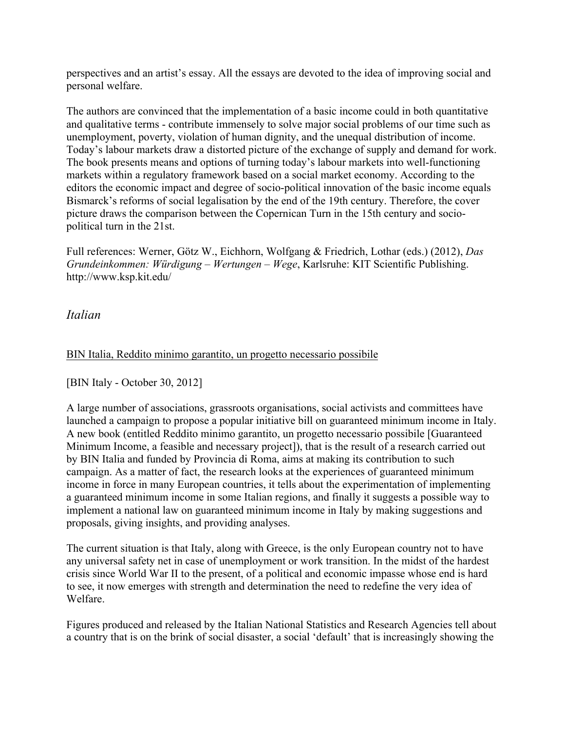perspectives and an artist's essay. All the essays are devoted to the idea of improving social and personal welfare.

The authors are convinced that the implementation of a basic income could in both quantitative and qualitative terms - contribute immensely to solve major social problems of our time such as unemployment, poverty, violation of human dignity, and the unequal distribution of income. Today's labour markets draw a distorted picture of the exchange of supply and demand for work. The book presents means and options of turning today's labour markets into well-functioning markets within a regulatory framework based on a social market economy. According to the editors the economic impact and degree of socio-political innovation of the basic income equals Bismarck's reforms of social legalisation by the end of the 19th century. Therefore, the cover picture draws the comparison between the Copernican Turn in the 15th century and sociopolitical turn in the 21st.

Full references: Werner, Götz W., Eichhorn, Wolfgang & Friedrich, Lothar (eds.) (2012), *Das Grundeinkommen: Würdigung – Wertungen – Wege*, Karlsruhe: KIT Scientific Publishing. http://www.ksp.kit.edu/

### *Italian*

#### BIN Italia, Reddito minimo garantito, un progetto necessario possibile

[BIN Italy - October 30, 2012]

A large number of associations, grassroots organisations, social activists and committees have launched a campaign to propose a popular initiative bill on guaranteed minimum income in Italy. A new book (entitled Reddito minimo garantito, un progetto necessario possibile [Guaranteed Minimum Income, a feasible and necessary project]), that is the result of a research carried out by BIN Italia and funded by Provincia di Roma, aims at making its contribution to such campaign. As a matter of fact, the research looks at the experiences of guaranteed minimum income in force in many European countries, it tells about the experimentation of implementing a guaranteed minimum income in some Italian regions, and finally it suggests a possible way to implement a national law on guaranteed minimum income in Italy by making suggestions and proposals, giving insights, and providing analyses.

The current situation is that Italy, along with Greece, is the only European country not to have any universal safety net in case of unemployment or work transition. In the midst of the hardest crisis since World War II to the present, of a political and economic impasse whose end is hard to see, it now emerges with strength and determination the need to redefine the very idea of Welfare.

Figures produced and released by the Italian National Statistics and Research Agencies tell about a country that is on the brink of social disaster, a social 'default' that is increasingly showing the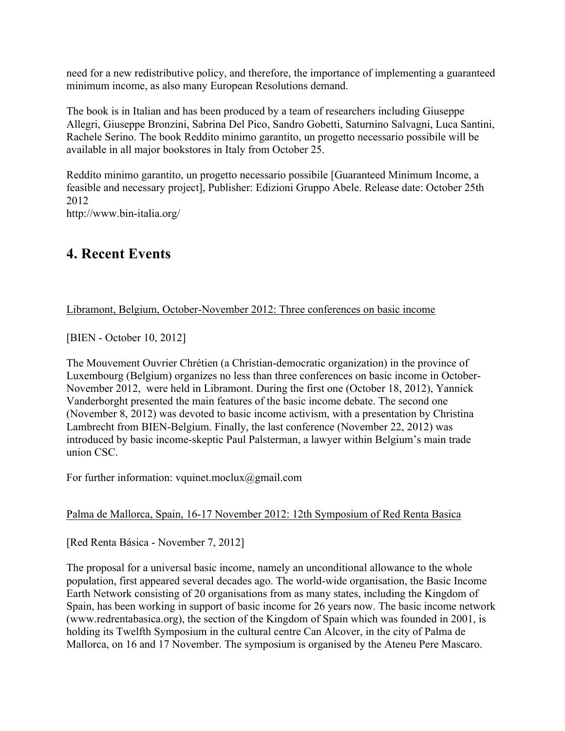need for a new redistributive policy, and therefore, the importance of implementing a guaranteed minimum income, as also many European Resolutions demand.

The book is in Italian and has been produced by a team of researchers including Giuseppe Allegri, Giuseppe Bronzini, Sabrina Del Pico, Sandro Gobetti, Saturnino Salvagni, Luca Santini, Rachele Serino. The book Reddito minimo garantito, un progetto necessario possibile will be available in all major bookstores in Italy from October 25.

Reddito minimo garantito, un progetto necessario possibile [Guaranteed Minimum Income, a feasible and necessary project], Publisher: Edizioni Gruppo Abele. Release date: October 25th 2012

http://www.bin-italia.org/

# **4. Recent Events**

#### Libramont, Belgium, October-November 2012: Three conferences on basic income

[BIEN - October 10, 2012]

The Mouvement Ouvrier Chrétien (a Christian-democratic organization) in the province of Luxembourg (Belgium) organizes no less than three conferences on basic income in October-November 2012, were held in Libramont. During the first one (October 18, 2012), Yannick Vanderborght presented the main features of the basic income debate. The second one (November 8, 2012) was devoted to basic income activism, with a presentation by Christina Lambrecht from BIEN-Belgium. Finally, the last conference (November 22, 2012) was introduced by basic income-skeptic Paul Palsterman, a lawyer within Belgium's main trade union CSC.

For further information: vquinet.moclux@gmail.com

#### Palma de Mallorca, Spain, 16-17 November 2012: 12th Symposium of Red Renta Basica

[Red Renta Básica - November 7, 2012]

The proposal for a universal basic income, namely an unconditional allowance to the whole population, first appeared several decades ago. The world-wide organisation, the Basic Income Earth Network consisting of 20 organisations from as many states, including the Kingdom of Spain, has been working in support of basic income for 26 years now. The basic income network (www.redrentabasica.org), the section of the Kingdom of Spain which was founded in 2001, is holding its Twelfth Symposium in the cultural centre Can Alcover, in the city of Palma de Mallorca, on 16 and 17 November. The symposium is organised by the Ateneu Pere Mascaro.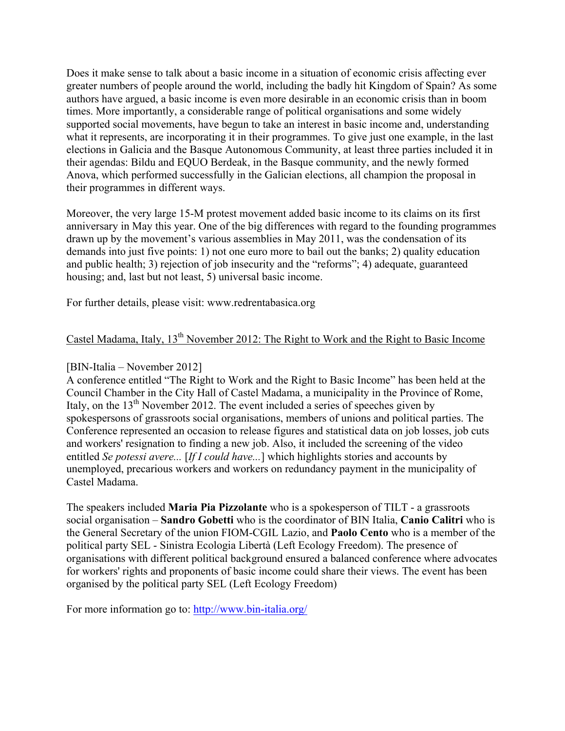Does it make sense to talk about a basic income in a situation of economic crisis affecting ever greater numbers of people around the world, including the badly hit Kingdom of Spain? As some authors have argued, a basic income is even more desirable in an economic crisis than in boom times. More importantly, a considerable range of political organisations and some widely supported social movements, have begun to take an interest in basic income and, understanding what it represents, are incorporating it in their programmes. To give just one example, in the last elections in Galicia and the Basque Autonomous Community, at least three parties included it in their agendas: Bildu and EQUO Berdeak, in the Basque community, and the newly formed Anova, which performed successfully in the Galician elections, all champion the proposal in their programmes in different ways.

Moreover, the very large 15-M protest movement added basic income to its claims on its first anniversary in May this year. One of the big differences with regard to the founding programmes drawn up by the movement's various assemblies in May 2011, was the condensation of its demands into just five points: 1) not one euro more to bail out the banks; 2) quality education and public health; 3) rejection of job insecurity and the "reforms"; 4) adequate, guaranteed housing; and, last but not least, 5) universal basic income.

For further details, please visit: www.redrentabasica.org

### Castel Madama, Italy, 13<sup>th</sup> November 2012: The Right to Work and the Right to Basic Income

#### [BIN-Italia – November 2012]

A conference entitled "The Right to Work and the Right to Basic Income" has been held at the Council Chamber in the City Hall of Castel Madama, a municipality in the Province of Rome, Italy, on the  $13<sup>th</sup>$  November 2012. The event included a series of speeches given by spokespersons of grassroots social organisations, members of unions and political parties. The Conference represented an occasion to release figures and statistical data on job losses, job cuts and workers' resignation to finding a new job. Also, it included the screening of the video entitled *Se potessi avere...* [*If I could have...*] which highlights stories and accounts by unemployed, precarious workers and workers on redundancy payment in the municipality of Castel Madama.

The speakers included **Maria Pia Pizzolante** who is a spokesperson of TILT - a grassroots social organisation – **Sandro Gobetti** who is the coordinator of BIN Italia, **Canio Calitri** who is the General Secretary of the union FIOM-CGIL Lazio, and **Paolo Cento** who is a member of the political party SEL - Sinistra Ecologia Libertà (Left Ecology Freedom). The presence of organisations with different political background ensured a balanced conference where advocates for workers' rights and proponents of basic income could share their views. The event has been organised by the political party SEL (Left Ecology Freedom)

For more information go to: http://www.bin-italia.org/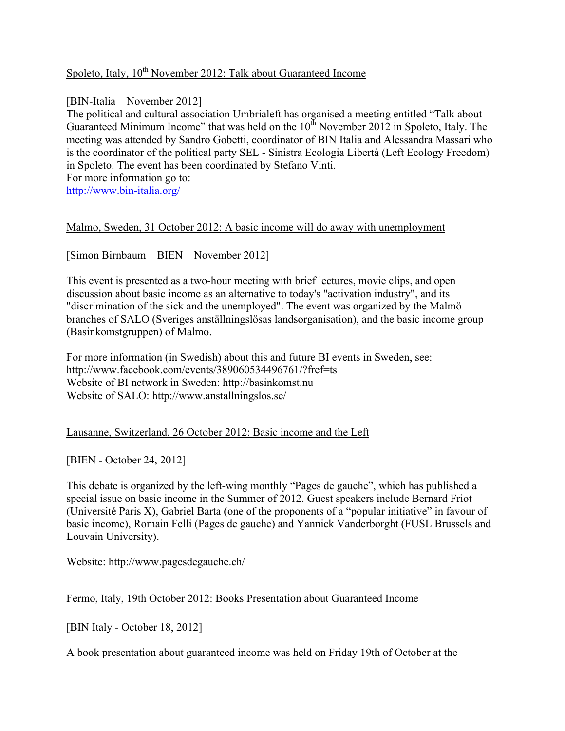### Spoleto, Italy,  $10^{th}$  November 2012: Talk about Guaranteed Income

[BIN-Italia – November 2012]

The political and cultural association Umbrialeft has organised a meeting entitled "Talk about Guaranteed Minimum Income" that was held on the  $10^{th}$  November 2012 in Spoleto, Italy. The meeting was attended by Sandro Gobetti, coordinator of BIN Italia and Alessandra Massari who is the coordinator of the political party SEL - Sinistra Ecologia Libertà (Left Ecology Freedom) in Spoleto. The event has been coordinated by Stefano Vinti. For more information go to:

http://www.bin-italia.org/

#### Malmo, Sweden, 31 October 2012: A basic income will do away with unemployment

[Simon Birnbaum – BIEN – November 2012]

This event is presented as a two-hour meeting with brief lectures, movie clips, and open discussion about basic income as an alternative to today's "activation industry", and its "discrimination of the sick and the unemployed". The event was organized by the Malmö branches of SALO (Sveriges anställningslösas landsorganisation), and the basic income group (Basinkomstgruppen) of Malmo.

For more information (in Swedish) about this and future BI events in Sweden, see: http://www.facebook.com/events/389060534496761/?fref=ts Website of BI network in Sweden: http://basinkomst.nu Website of SALO: http://www.anstallningslos.se/

#### Lausanne, Switzerland, 26 October 2012: Basic income and the Left

[BIEN - October 24, 2012]

This debate is organized by the left-wing monthly "Pages de gauche", which has published a special issue on basic income in the Summer of 2012. Guest speakers include Bernard Friot (Université Paris X), Gabriel Barta (one of the proponents of a "popular initiative" in favour of basic income), Romain Felli (Pages de gauche) and Yannick Vanderborght (FUSL Brussels and Louvain University).

Website: http://www.pagesdegauche.ch/

#### Fermo, Italy, 19th October 2012: Books Presentation about Guaranteed Income

[BIN Italy - October 18, 2012]

A book presentation about guaranteed income was held on Friday 19th of October at the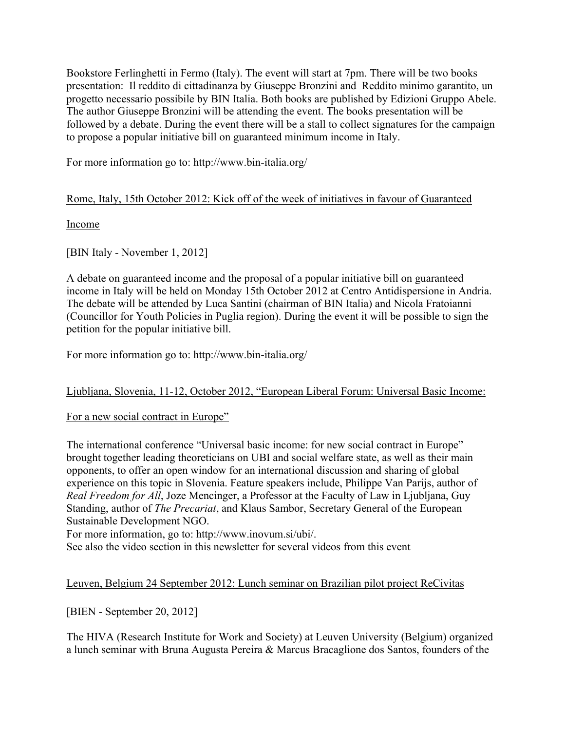Bookstore Ferlinghetti in Fermo (Italy). The event will start at 7pm. There will be two books presentation: Il reddito di cittadinanza by Giuseppe Bronzini and Reddito minimo garantito, un progetto necessario possibile by BIN Italia. Both books are published by Edizioni Gruppo Abele. The author Giuseppe Bronzini will be attending the event. The books presentation will be followed by a debate. During the event there will be a stall to collect signatures for the campaign to propose a popular initiative bill on guaranteed minimum income in Italy.

For more information go to: http://www.bin-italia.org/

#### Rome, Italy, 15th October 2012: Kick off of the week of initiatives in favour of Guaranteed

Income

[BIN Italy - November 1, 2012]

A debate on guaranteed income and the proposal of a popular initiative bill on guaranteed income in Italy will be held on Monday 15th October 2012 at Centro Antidispersione in Andria. The debate will be attended by Luca Santini (chairman of BIN Italia) and Nicola Fratoianni (Councillor for Youth Policies in Puglia region). During the event it will be possible to sign the petition for the popular initiative bill.

For more information go to: http://www.bin-italia.org/

### Ljubljana, Slovenia, 11-12, October 2012, "European Liberal Forum: Universal Basic Income:

#### For a new social contract in Europe"

The international conference "Universal basic income: for new social contract in Europe" brought together leading theoreticians on UBI and social welfare state, as well as their main opponents, to offer an open window for an international discussion and sharing of global experience on this topic in Slovenia. Feature speakers include, Philippe Van Parijs, author of *Real Freedom for All*, Joze Mencinger, a Professor at the Faculty of Law in Ljubljana, Guy Standing, author of *The Precariat*, and Klaus Sambor, Secretary General of the European Sustainable Development NGO.

For more information, go to: http://www.inovum.si/ubi/.

See also the video section in this newsletter for several videos from this event

#### Leuven, Belgium 24 September 2012: Lunch seminar on Brazilian pilot project ReCivitas

[BIEN - September 20, 2012]

The HIVA (Research Institute for Work and Society) at Leuven University (Belgium) organized a lunch seminar with Bruna Augusta Pereira & Marcus Bracaglione dos Santos, founders of the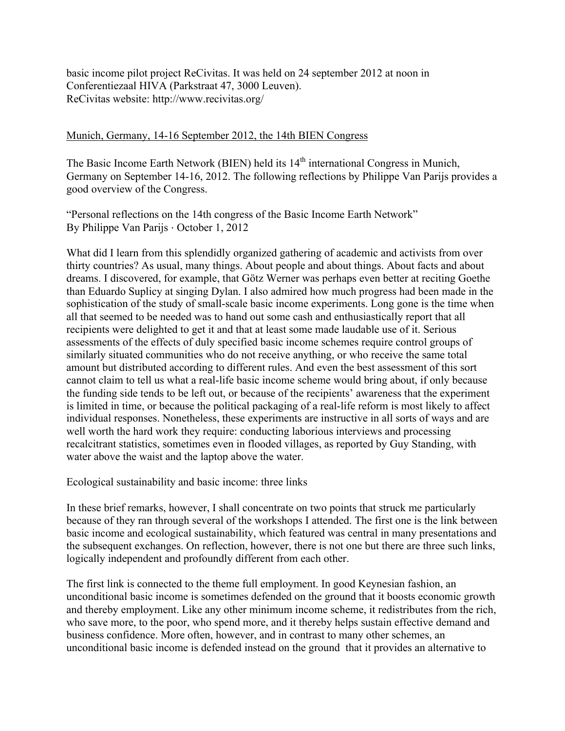basic income pilot project ReCivitas. It was held on 24 september 2012 at noon in Conferentiezaal HIVA (Parkstraat 47, 3000 Leuven). ReCivitas website: http://www.recivitas.org/

#### Munich, Germany, 14-16 September 2012, the 14th BIEN Congress

The Basic Income Earth Network (BIEN) held its  $14<sup>th</sup>$  international Congress in Munich, Germany on September 14-16, 2012. The following reflections by Philippe Van Parijs provides a good overview of the Congress.

"Personal reflections on the 14th congress of the Basic Income Earth Network" By Philippe Van Parijs ⋅ October 1, 2012

What did I learn from this splendidly organized gathering of academic and activists from over thirty countries? As usual, many things. About people and about things. About facts and about dreams. I discovered, for example, that Götz Werner was perhaps even better at reciting Goethe than Eduardo Suplicy at singing Dylan. I also admired how much progress had been made in the sophistication of the study of small-scale basic income experiments. Long gone is the time when all that seemed to be needed was to hand out some cash and enthusiastically report that all recipients were delighted to get it and that at least some made laudable use of it. Serious assessments of the effects of duly specified basic income schemes require control groups of similarly situated communities who do not receive anything, or who receive the same total amount but distributed according to different rules. And even the best assessment of this sort cannot claim to tell us what a real-life basic income scheme would bring about, if only because the funding side tends to be left out, or because of the recipients' awareness that the experiment is limited in time, or because the political packaging of a real-life reform is most likely to affect individual responses. Nonetheless, these experiments are instructive in all sorts of ways and are well worth the hard work they require: conducting laborious interviews and processing recalcitrant statistics, sometimes even in flooded villages, as reported by Guy Standing, with water above the waist and the laptop above the water.

Ecological sustainability and basic income: three links

In these brief remarks, however, I shall concentrate on two points that struck me particularly because of they ran through several of the workshops I attended. The first one is the link between basic income and ecological sustainability, which featured was central in many presentations and the subsequent exchanges. On reflection, however, there is not one but there are three such links, logically independent and profoundly different from each other.

The first link is connected to the theme full employment. In good Keynesian fashion, an unconditional basic income is sometimes defended on the ground that it boosts economic growth and thereby employment. Like any other minimum income scheme, it redistributes from the rich, who save more, to the poor, who spend more, and it thereby helps sustain effective demand and business confidence. More often, however, and in contrast to many other schemes, an unconditional basic income is defended instead on the ground that it provides an alternative to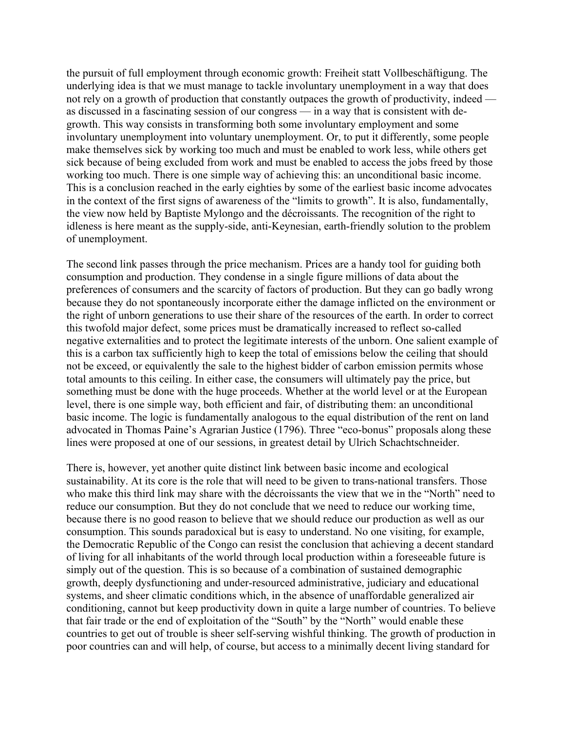the pursuit of full employment through economic growth: Freiheit statt Vollbeschäftigung. The underlying idea is that we must manage to tackle involuntary unemployment in a way that does not rely on a growth of production that constantly outpaces the growth of productivity, indeed as discussed in a fascinating session of our congress — in a way that is consistent with degrowth. This way consists in transforming both some involuntary employment and some involuntary unemployment into voluntary unemployment. Or, to put it differently, some people make themselves sick by working too much and must be enabled to work less, while others get sick because of being excluded from work and must be enabled to access the jobs freed by those working too much. There is one simple way of achieving this: an unconditional basic income. This is a conclusion reached in the early eighties by some of the earliest basic income advocates in the context of the first signs of awareness of the "limits to growth". It is also, fundamentally, the view now held by Baptiste Mylongo and the décroissants. The recognition of the right to idleness is here meant as the supply-side, anti-Keynesian, earth-friendly solution to the problem of unemployment.

The second link passes through the price mechanism. Prices are a handy tool for guiding both consumption and production. They condense in a single figure millions of data about the preferences of consumers and the scarcity of factors of production. But they can go badly wrong because they do not spontaneously incorporate either the damage inflicted on the environment or the right of unborn generations to use their share of the resources of the earth. In order to correct this twofold major defect, some prices must be dramatically increased to reflect so-called negative externalities and to protect the legitimate interests of the unborn. One salient example of this is a carbon tax sufficiently high to keep the total of emissions below the ceiling that should not be exceed, or equivalently the sale to the highest bidder of carbon emission permits whose total amounts to this ceiling. In either case, the consumers will ultimately pay the price, but something must be done with the huge proceeds. Whether at the world level or at the European level, there is one simple way, both efficient and fair, of distributing them: an unconditional basic income. The logic is fundamentally analogous to the equal distribution of the rent on land advocated in Thomas Paine's Agrarian Justice (1796). Three "eco-bonus" proposals along these lines were proposed at one of our sessions, in greatest detail by Ulrich Schachtschneider.

There is, however, yet another quite distinct link between basic income and ecological sustainability. At its core is the role that will need to be given to trans-national transfers. Those who make this third link may share with the décroissants the view that we in the "North" need to reduce our consumption. But they do not conclude that we need to reduce our working time, because there is no good reason to believe that we should reduce our production as well as our consumption. This sounds paradoxical but is easy to understand. No one visiting, for example, the Democratic Republic of the Congo can resist the conclusion that achieving a decent standard of living for all inhabitants of the world through local production within a foreseeable future is simply out of the question. This is so because of a combination of sustained demographic growth, deeply dysfunctioning and under-resourced administrative, judiciary and educational systems, and sheer climatic conditions which, in the absence of unaffordable generalized air conditioning, cannot but keep productivity down in quite a large number of countries. To believe that fair trade or the end of exploitation of the "South" by the "North" would enable these countries to get out of trouble is sheer self-serving wishful thinking. The growth of production in poor countries can and will help, of course, but access to a minimally decent living standard for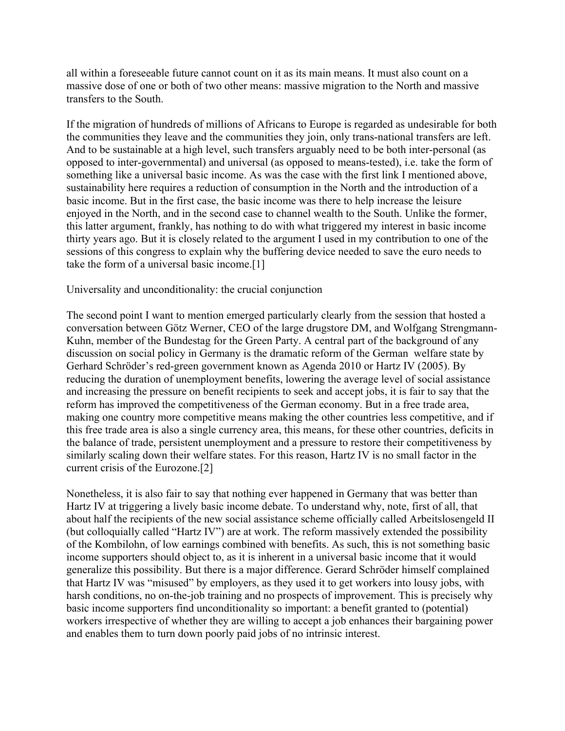all within a foreseeable future cannot count on it as its main means. It must also count on a massive dose of one or both of two other means: massive migration to the North and massive transfers to the South.

If the migration of hundreds of millions of Africans to Europe is regarded as undesirable for both the communities they leave and the communities they join, only trans-national transfers are left. And to be sustainable at a high level, such transfers arguably need to be both inter-personal (as opposed to inter-governmental) and universal (as opposed to means-tested), i.e. take the form of something like a universal basic income. As was the case with the first link I mentioned above, sustainability here requires a reduction of consumption in the North and the introduction of a basic income. But in the first case, the basic income was there to help increase the leisure enjoyed in the North, and in the second case to channel wealth to the South. Unlike the former, this latter argument, frankly, has nothing to do with what triggered my interest in basic income thirty years ago. But it is closely related to the argument I used in my contribution to one of the sessions of this congress to explain why the buffering device needed to save the euro needs to take the form of a universal basic income.[1]

#### Universality and unconditionality: the crucial conjunction

The second point I want to mention emerged particularly clearly from the session that hosted a conversation between Götz Werner, CEO of the large drugstore DM, and Wolfgang Strengmann-Kuhn, member of the Bundestag for the Green Party. A central part of the background of any discussion on social policy in Germany is the dramatic reform of the German welfare state by Gerhard Schröder's red-green government known as Agenda 2010 or Hartz IV (2005). By reducing the duration of unemployment benefits, lowering the average level of social assistance and increasing the pressure on benefit recipients to seek and accept jobs, it is fair to say that the reform has improved the competitiveness of the German economy. But in a free trade area, making one country more competitive means making the other countries less competitive, and if this free trade area is also a single currency area, this means, for these other countries, deficits in the balance of trade, persistent unemployment and a pressure to restore their competitiveness by similarly scaling down their welfare states. For this reason, Hartz IV is no small factor in the current crisis of the Eurozone.[2]

Nonetheless, it is also fair to say that nothing ever happened in Germany that was better than Hartz IV at triggering a lively basic income debate. To understand why, note, first of all, that about half the recipients of the new social assistance scheme officially called Arbeitslosengeld II (but colloquially called "Hartz IV") are at work. The reform massively extended the possibility of the Kombilohn, of low earnings combined with benefits. As such, this is not something basic income supporters should object to, as it is inherent in a universal basic income that it would generalize this possibility. But there is a major difference. Gerard Schröder himself complained that Hartz IV was "misused" by employers, as they used it to get workers into lousy jobs, with harsh conditions, no on-the-job training and no prospects of improvement. This is precisely why basic income supporters find unconditionality so important: a benefit granted to (potential) workers irrespective of whether they are willing to accept a job enhances their bargaining power and enables them to turn down poorly paid jobs of no intrinsic interest.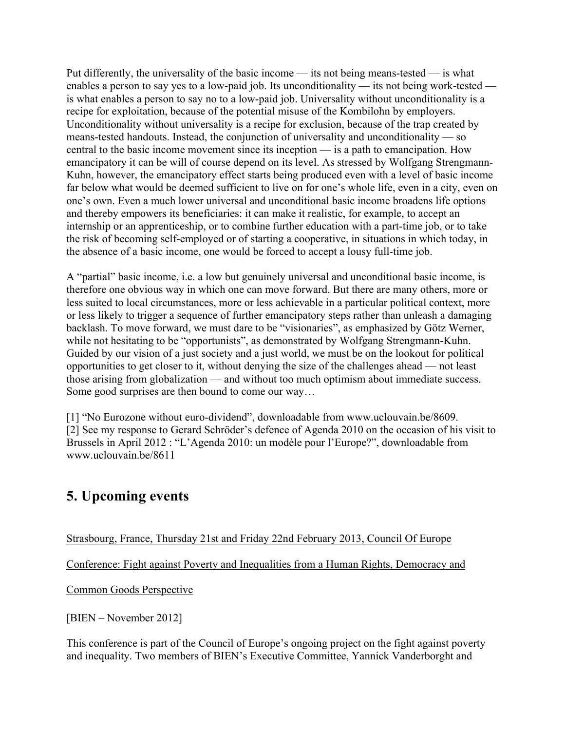Put differently, the universality of the basic income — its not being means-tested — is what enables a person to say yes to a low-paid job. Its unconditionality — its not being work-tested is what enables a person to say no to a low-paid job. Universality without unconditionality is a recipe for exploitation, because of the potential misuse of the Kombilohn by employers. Unconditionality without universality is a recipe for exclusion, because of the trap created by means-tested handouts. Instead, the conjunction of universality and unconditionality — so central to the basic income movement since its inception — is a path to emancipation. How emancipatory it can be will of course depend on its level. As stressed by Wolfgang Strengmann-Kuhn, however, the emancipatory effect starts being produced even with a level of basic income far below what would be deemed sufficient to live on for one's whole life, even in a city, even on one's own. Even a much lower universal and unconditional basic income broadens life options and thereby empowers its beneficiaries: it can make it realistic, for example, to accept an internship or an apprenticeship, or to combine further education with a part-time job, or to take the risk of becoming self-employed or of starting a cooperative, in situations in which today, in the absence of a basic income, one would be forced to accept a lousy full-time job.

A "partial" basic income, i.e. a low but genuinely universal and unconditional basic income, is therefore one obvious way in which one can move forward. But there are many others, more or less suited to local circumstances, more or less achievable in a particular political context, more or less likely to trigger a sequence of further emancipatory steps rather than unleash a damaging backlash. To move forward, we must dare to be "visionaries", as emphasized by Götz Werner, while not hesitating to be "opportunists", as demonstrated by Wolfgang Strengmann-Kuhn. Guided by our vision of a just society and a just world, we must be on the lookout for political opportunities to get closer to it, without denying the size of the challenges ahead — not least those arising from globalization — and without too much optimism about immediate success. Some good surprises are then bound to come our way…

[1] "No Eurozone without euro-dividend", downloadable from www.uclouvain.be/8609. [2] See my response to Gerard Schröder's defence of Agenda 2010 on the occasion of his visit to Brussels in April 2012 : "L'Agenda 2010: un modèle pour l'Europe?", downloadable from www.uclouvain.be/8611

# **5. Upcoming events**

### Strasbourg, France, Thursday 21st and Friday 22nd February 2013, Council Of Europe

Conference: Fight against Poverty and Inequalities from a Human Rights, Democracy and

Common Goods Perspective

[BIEN – November 2012]

This conference is part of the Council of Europe's ongoing project on the fight against poverty and inequality. Two members of BIEN's Executive Committee, Yannick Vanderborght and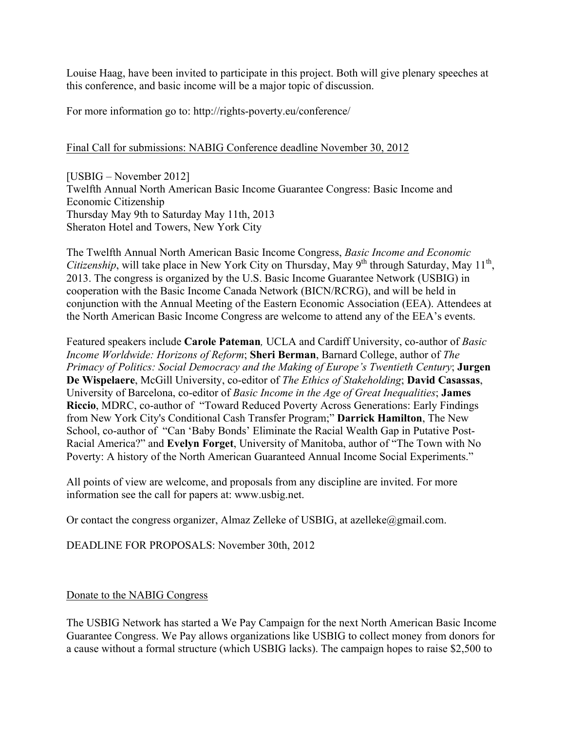Louise Haag, have been invited to participate in this project. Both will give plenary speeches at this conference, and basic income will be a major topic of discussion.

For more information go to: http://rights-poverty.eu/conference/

#### Final Call for submissions: NABIG Conference deadline November 30, 2012

[USBIG – November 2012] Twelfth Annual North American Basic Income Guarantee Congress: Basic Income and Economic Citizenship Thursday May 9th to Saturday May 11th, 2013 Sheraton Hotel and Towers, New York City

The Twelfth Annual North American Basic Income Congress, *Basic Income and Economic Citizenship*, will take place in New York City on Thursday, May 9<sup>th</sup> through Saturday, May 11<sup>th</sup>, 2013. The congress is organized by the U.S. Basic Income Guarantee Network (USBIG) in cooperation with the Basic Income Canada Network (BICN/RCRG), and will be held in conjunction with the Annual Meeting of the Eastern Economic Association (EEA). Attendees at the North American Basic Income Congress are welcome to attend any of the EEA's events.

Featured speakers include **Carole Pateman***,* UCLA and Cardiff University, co-author of *Basic Income Worldwide: Horizons of Reform*; **Sheri Berman**, Barnard College, author of *The Primacy of Politics: Social Democracy and the Making of Europe's Twentieth Century*; **Jurgen De Wispelaere**, McGill University, co-editor of *The Ethics of Stakeholding*; **David Casassas**, University of Barcelona, co-editor of *Basic Income in the Age of Great Inequalities*; **James Riccio**, MDRC, co-author of "Toward Reduced Poverty Across Generations: Early Findings from New York City's Conditional Cash Transfer Program;" **Darrick Hamilton**, The New School, co-author of "Can 'Baby Bonds' Eliminate the Racial Wealth Gap in Putative Post-Racial America?" and **Evelyn Forget**, University of Manitoba, author of "The Town with No Poverty: A history of the North American Guaranteed Annual Income Social Experiments."

All points of view are welcome, and proposals from any discipline are invited. For more information see the call for papers at: www.usbig.net.

Or contact the congress organizer, Almaz Zelleke of USBIG, at azelleke@gmail.com.

DEADLINE FOR PROPOSALS: November 30th, 2012

#### Donate to the NABIG Congress

The USBIG Network has started a We Pay Campaign for the next North American Basic Income Guarantee Congress. We Pay allows organizations like USBIG to collect money from donors for a cause without a formal structure (which USBIG lacks). The campaign hopes to raise \$2,500 to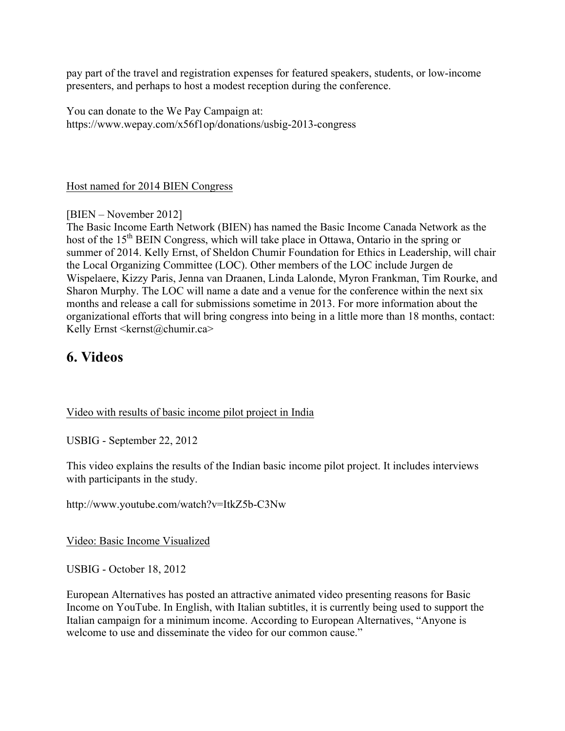pay part of the travel and registration expenses for featured speakers, students, or low-income presenters, and perhaps to host a modest reception during the conference.

You can donate to the We Pay Campaign at: https://www.wepay.com/x56f1op/donations/usbig-2013-congress

#### Host named for 2014 BIEN Congress

[BIEN – November 2012]

The Basic Income Earth Network (BIEN) has named the Basic Income Canada Network as the host of the 15<sup>th</sup> BEIN Congress, which will take place in Ottawa, Ontario in the spring or summer of 2014. Kelly Ernst, of Sheldon Chumir Foundation for Ethics in Leadership, will chair the Local Organizing Committee (LOC). Other members of the LOC include Jurgen de Wispelaere, Kizzy Paris, Jenna van Draanen, Linda Lalonde, Myron Frankman, Tim Rourke, and Sharon Murphy. The LOC will name a date and a venue for the conference within the next six months and release a call for submissions sometime in 2013. For more information about the organizational efforts that will bring congress into being in a little more than 18 months, contact: Kelly Ernst <kernst@chumir.ca>

# **6. Videos**

#### Video with results of basic income pilot project in India

USBIG - September 22, 2012

This video explains the results of the Indian basic income pilot project. It includes interviews with participants in the study.

http://www.youtube.com/watch?v=ItkZ5b-C3Nw

Video: Basic Income Visualized

USBIG - October 18, 2012

European Alternatives has posted an attractive animated video presenting reasons for Basic Income on YouTube. In English, with Italian subtitles, it is currently being used to support the Italian campaign for a minimum income. According to European Alternatives, "Anyone is welcome to use and disseminate the video for our common cause."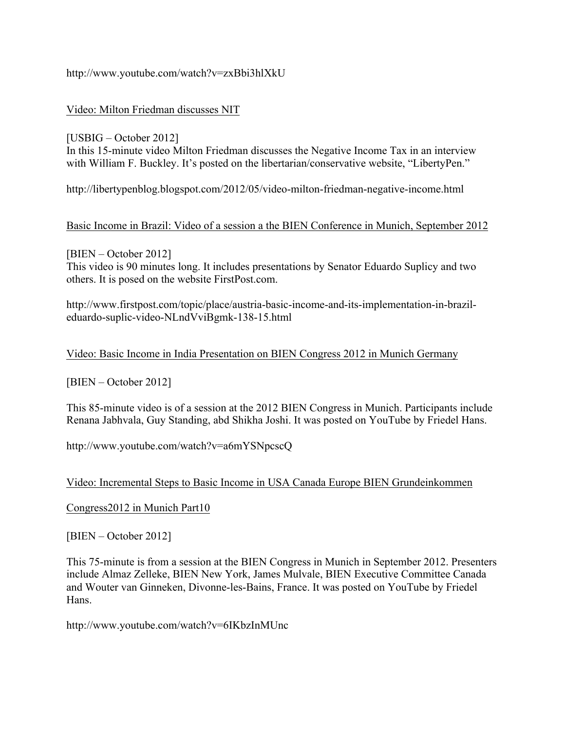#### http://www.youtube.com/watch?v=zxBbi3hlXkU

#### Video: Milton Friedman discusses NIT

[USBIG – October 2012] In this 15-minute video Milton Friedman discusses the Negative Income Tax in an interview with William F. Buckley. It's posted on the libertarian/conservative website, "LibertyPen."

http://libertypenblog.blogspot.com/2012/05/video-milton-friedman-negative-income.html

#### Basic Income in Brazil: Video of a session a the BIEN Conference in Munich, September 2012

[BIEN – October 2012] This video is 90 minutes long. It includes presentations by Senator Eduardo Suplicy and two others. It is posed on the website FirstPost.com.

http://www.firstpost.com/topic/place/austria-basic-income-and-its-implementation-in-brazileduardo-suplic-video-NLndVviBgmk-138-15.html

#### Video: Basic Income in India Presentation on BIEN Congress 2012 in Munich Germany

[BIEN – October 2012]

This 85-minute video is of a session at the 2012 BIEN Congress in Munich. Participants include Renana Jabhvala, Guy Standing, abd Shikha Joshi. It was posted on YouTube by Friedel Hans.

http://www.youtube.com/watch?v=a6mYSNpcscQ

#### Video: Incremental Steps to Basic Income in USA Canada Europe BIEN Grundeinkommen

Congress2012 in Munich Part10

[BIEN – October 2012]

This 75-minute is from a session at the BIEN Congress in Munich in September 2012. Presenters include Almaz Zelleke, BIEN New York, James Mulvale, BIEN Executive Committee Canada and Wouter van Ginneken, Divonne-les-Bains, France. It was posted on YouTube by Friedel Hans.

http://www.youtube.com/watch?v=6IKbzInMUnc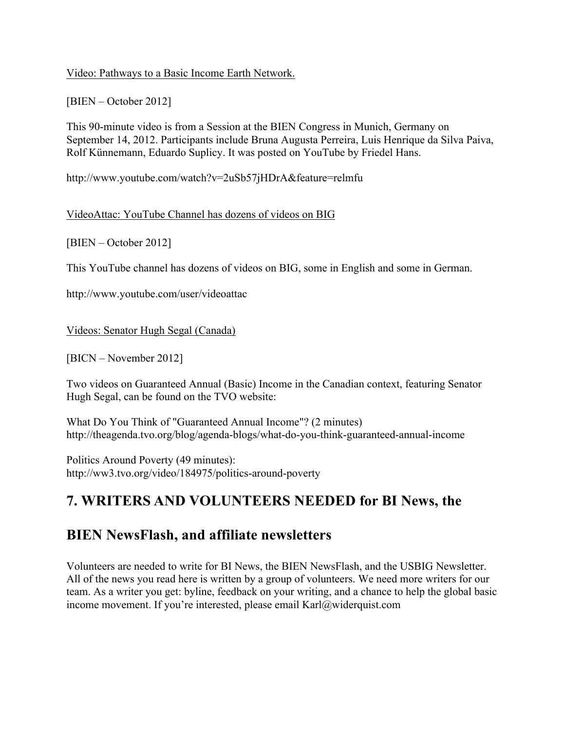#### Video: Pathways to a Basic Income Earth Network.

#### [BIEN – October 2012]

This 90-minute video is from a Session at the BIEN Congress in Munich, Germany on September 14, 2012. Participants include Bruna Augusta Perreira, Luis Henrique da Silva Paiva, Rolf Künnemann, Eduardo Suplicy. It was posted on YouTube by Friedel Hans.

http://www.youtube.com/watch?v=2uSb57jHDrA&feature=relmfu

#### VideoAttac: YouTube Channel has dozens of videos on BIG

[BIEN – October 2012]

This YouTube channel has dozens of videos on BIG, some in English and some in German.

http://www.youtube.com/user/videoattac

Videos: Senator Hugh Segal (Canada)

[BICN – November 2012]

Two videos on Guaranteed Annual (Basic) Income in the Canadian context, featuring Senator Hugh Segal, can be found on the TVO website:

What Do You Think of "Guaranteed Annual Income"? (2 minutes) http://theagenda.tvo.org/blog/agenda-blogs/what-do-you-think-guaranteed-annual-income

Politics Around Poverty (49 minutes): http://ww3.tvo.org/video/184975/politics-around-poverty

# **7. WRITERS AND VOLUNTEERS NEEDED for BI News, the**

# **BIEN NewsFlash, and affiliate newsletters**

Volunteers are needed to write for BI News, the BIEN NewsFlash, and the USBIG Newsletter. All of the news you read here is written by a group of volunteers. We need more writers for our team. As a writer you get: byline, feedback on your writing, and a chance to help the global basic income movement. If you're interested, please email Karl@widerquist.com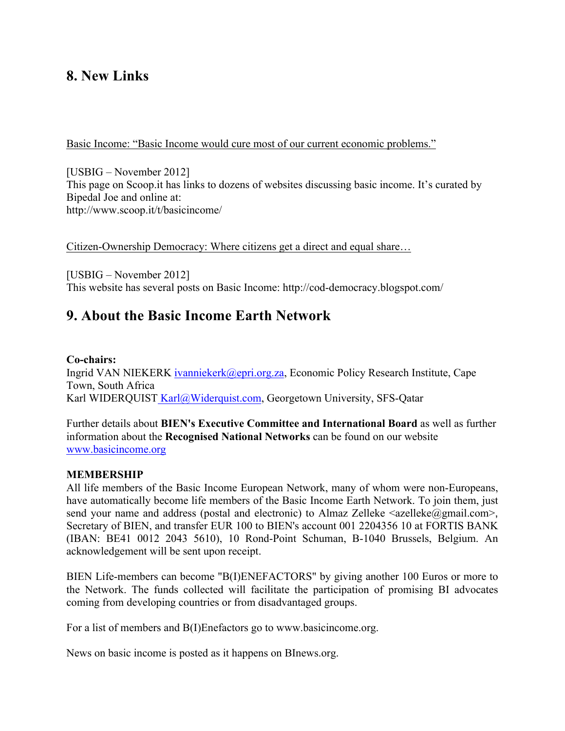## **8. New Links**

Basic Income: "Basic Income would cure most of our current economic problems."

[USBIG – November 2012] This page on Scoop.it has links to dozens of websites discussing basic income. It's curated by Bipedal Joe and online at: http://www.scoop.it/t/basicincome/

Citizen-Ownership Democracy: Where citizens get a direct and equal share…

[USBIG – November 2012] This website has several posts on Basic Income: http://cod-democracy.blogspot.com/

### **9. About the Basic Income Earth Network**

#### **Co-chairs:**

Ingrid VAN NIEKERK ivanniekerk@epri.org.za, Economic Policy Research Institute, Cape Town, South Africa Karl WIDERQUIST Karl@Widerquist.com, Georgetown University, SFS-Qatar

Further details about **BIEN's Executive Committee and International Board** as well as further information about the **Recognised National Networks** can be found on our website www.basicincome.org

#### **MEMBERSHIP**

All life members of the Basic Income European Network, many of whom were non-Europeans, have automatically become life members of the Basic Income Earth Network. To join them, just send your name and address (postal and electronic) to Almaz Zelleke  $\langle$ azelleke $\langle$ @gmail.com>, Secretary of BIEN, and transfer EUR 100 to BIEN's account 001 2204356 10 at FORTIS BANK (IBAN: BE41 0012 2043 5610), 10 Rond-Point Schuman, B-1040 Brussels, Belgium. An acknowledgement will be sent upon receipt.

BIEN Life-members can become "B(I)ENEFACTORS" by giving another 100 Euros or more to the Network. The funds collected will facilitate the participation of promising BI advocates coming from developing countries or from disadvantaged groups.

For a list of members and B(I)Enefactors go to www.basicincome.org.

News on basic income is posted as it happens on BInews.org.